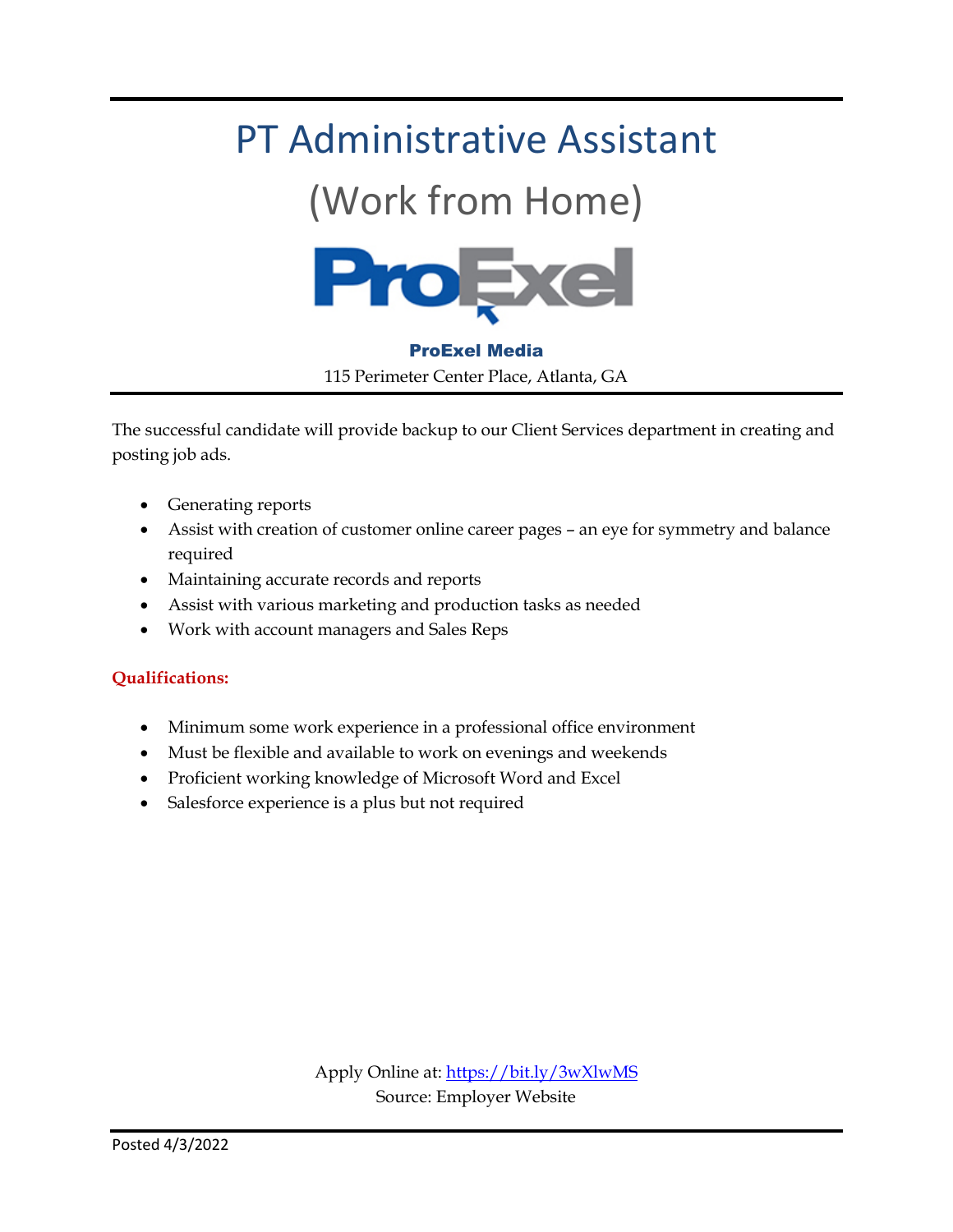### PT Administrative Assistant

### (Work from Home)



ProExel Media 115 Perimeter Center Place, Atlanta, GA

The successful candidate will provide backup to our Client Services department in creating and posting job ads.

- Generating reports
- Assist with creation of customer online career pages an eye for symmetry and balance required
- Maintaining accurate records and reports
- Assist with various marketing and production tasks as needed
- Work with account managers and Sales Reps

#### **Qualifications:**

- Minimum some work experience in a professional office environment
- Must be flexible and available to work on evenings and weekends
- Proficient working knowledge of Microsoft Word and Excel
- Salesforce experience is a plus but not required

Apply Online at[: https://bit.ly/3wXlwMS](https://bit.ly/3wXlwMS) Source: Employer Website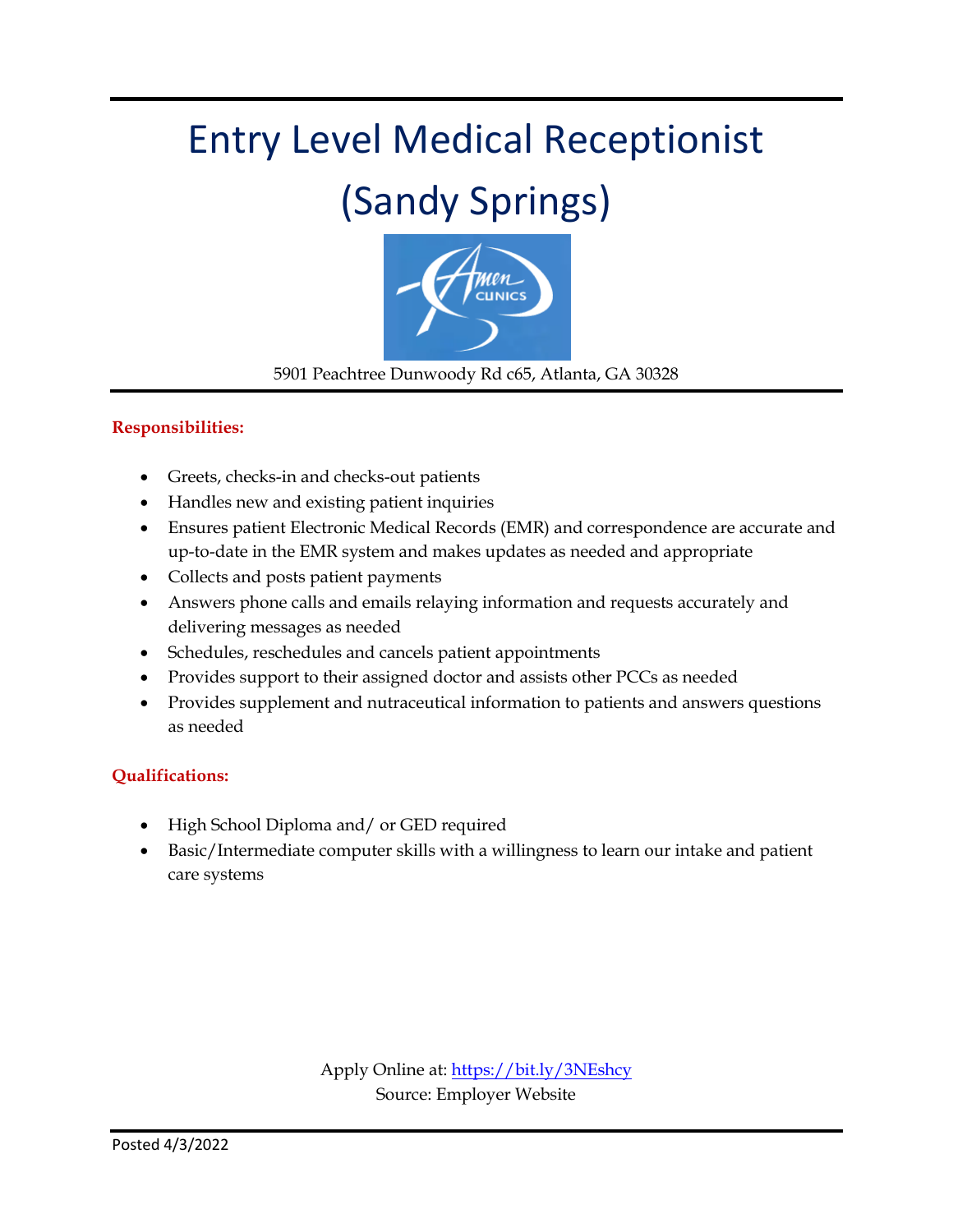### Entry Level Medical Receptionist

### (Sandy Springs)



5901 Peachtree Dunwoody Rd c65, Atlanta, GA 30328

#### **Responsibilities:**

- Greets, checks-in and checks-out patients
- Handles new and existing patient inquiries
- Ensures patient Electronic Medical Records (EMR) and correspondence are accurate and up-to-date in the EMR system and makes updates as needed and appropriate
- Collects and posts patient payments
- Answers phone calls and emails relaying information and requests accurately and delivering messages as needed
- Schedules, reschedules and cancels patient appointments
- Provides support to their assigned doctor and assists other PCCs as needed
- Provides supplement and nutraceutical information to patients and answers questions as needed

#### **Qualifications:**

- High School Diploma and/ or GED required
- Basic/Intermediate computer skills with a willingness to learn our intake and patient care systems

Apply Online at:<https://bit.ly/3NEshcy> Source: Employer Website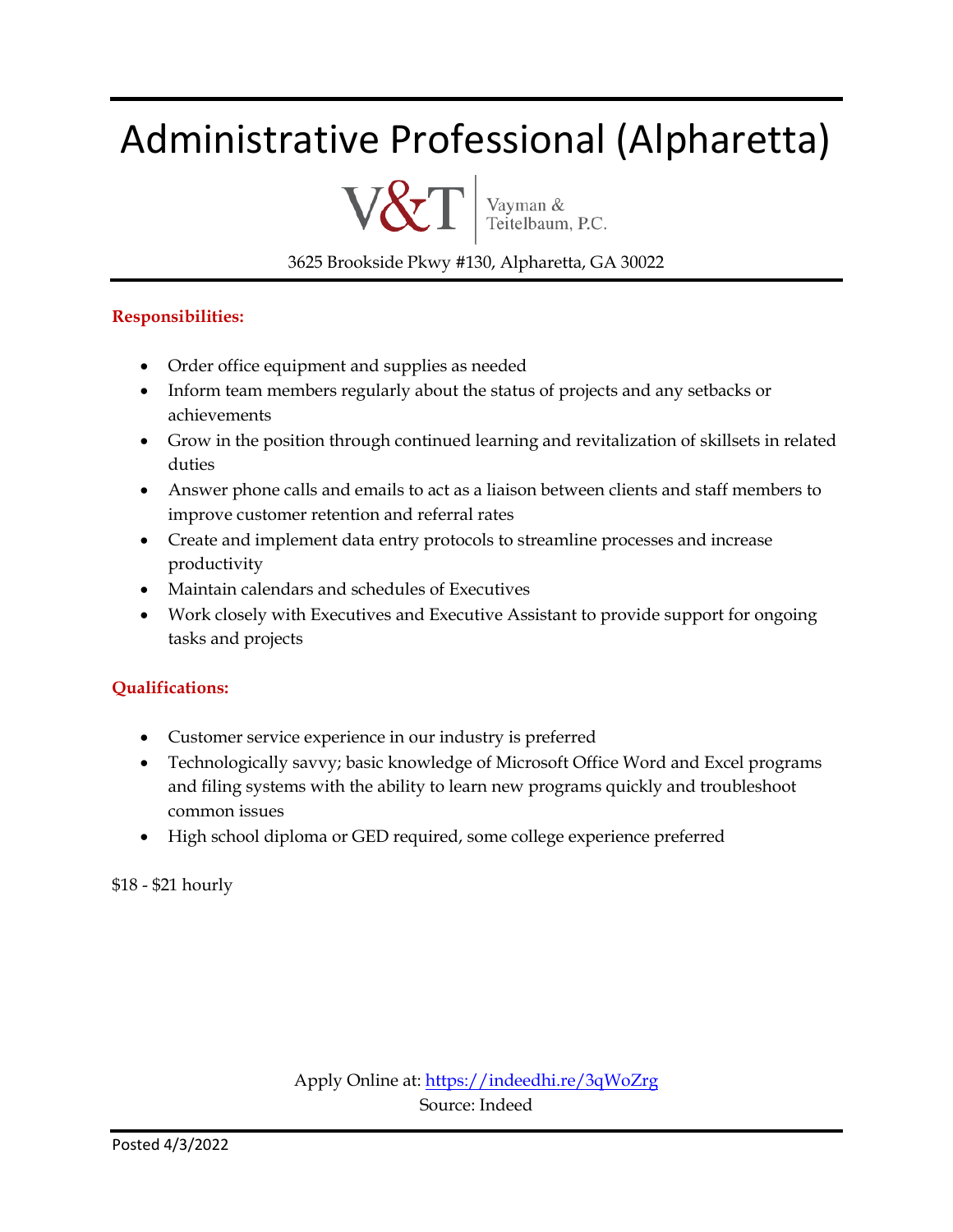### Administrative Professional (Alpharetta)



Vayman &<br>Teitelbaum, P.C.

3625 Brookside Pkwy #130, Alpharetta, GA 30022

#### **Responsibilities:**

- Order office equipment and supplies as needed
- Inform team members regularly about the status of projects and any setbacks or achievements
- Grow in the position through continued learning and revitalization of skillsets in related duties
- Answer phone calls and emails to act as a liaison between clients and staff members to improve customer retention and referral rates
- Create and implement data entry protocols to streamline processes and increase productivity
- Maintain calendars and schedules of Executives
- Work closely with Executives and Executive Assistant to provide support for ongoing tasks and projects

#### **Qualifications:**

- Customer service experience in our industry is preferred
- Technologically savvy; basic knowledge of Microsoft Office Word and Excel programs and filing systems with the ability to learn new programs quickly and troubleshoot common issues
- High school diploma or GED required, some college experience preferred

\$18 - \$21 hourly

Apply Online at:<https://indeedhi.re/3qWoZrg> Source: Indeed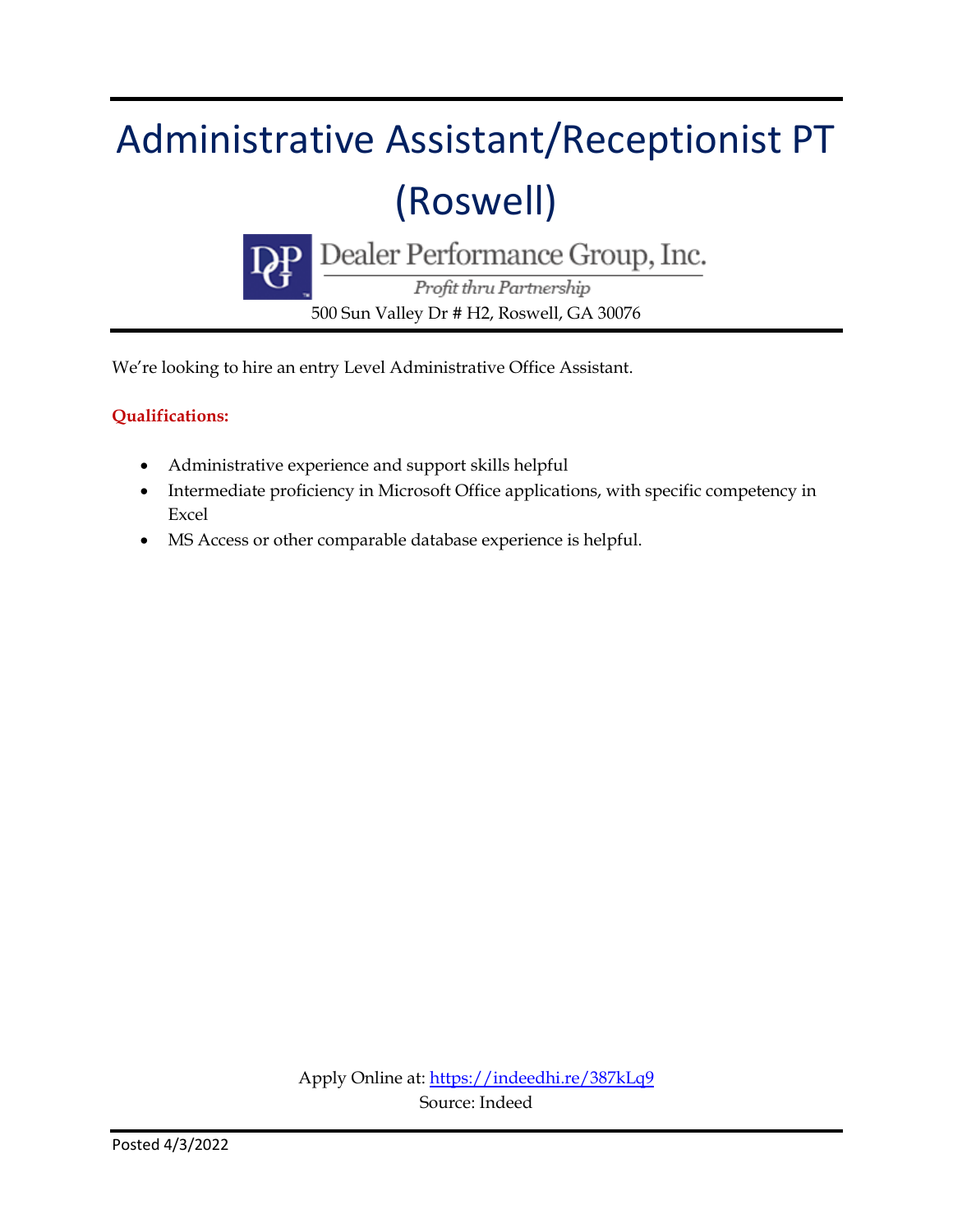# Administrative Assistant/Receptionist PT (Roswell)



 $\frac{\text{Dealer Performance Group, Inc.}}{\textit{Profit thru Partnership}}$ 

500 Sun Valley Dr # H2, Roswell, GA 30076

We're looking to hire an entry Level Administrative Office Assistant.

#### **Qualifications:**

- Administrative experience and support skills helpful
- Intermediate proficiency in Microsoft Office applications, with specific competency in Excel
- MS Access or other comparable database experience is helpful.

Apply Online at:<https://indeedhi.re/387kLq9> Source: Indeed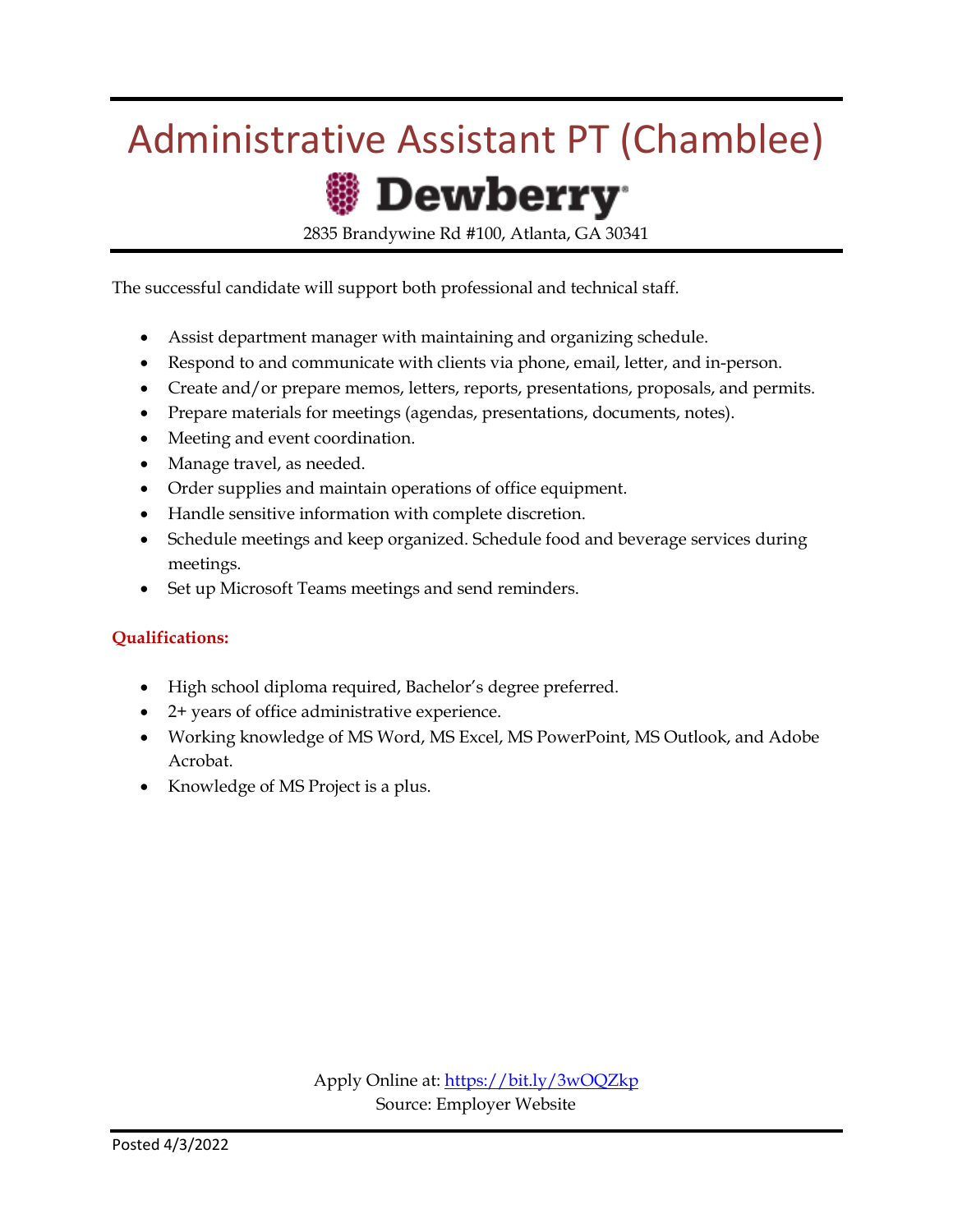### Administrative Assistant PT (Chamblee)



2835 Brandywine Rd #100, Atlanta, GA 30341

The successful candidate will support both professional and technical staff.

- Assist department manager with maintaining and organizing schedule.
- Respond to and communicate with clients via phone, email, letter, and in-person.
- Create and/or prepare memos, letters, reports, presentations, proposals, and permits.
- Prepare materials for meetings (agendas, presentations, documents, notes).
- Meeting and event coordination.
- Manage travel, as needed.
- Order supplies and maintain operations of office equipment.
- Handle sensitive information with complete discretion.
- Schedule meetings and keep organized. Schedule food and beverage services during meetings.
- Set up Microsoft Teams meetings and send reminders.

#### **Qualifications:**

- High school diploma required, Bachelor's degree preferred.
- 2+ years of office administrative experience.
- Working knowledge of MS Word, MS Excel, MS PowerPoint, MS Outlook, and Adobe Acrobat.
- Knowledge of MS Project is a plus.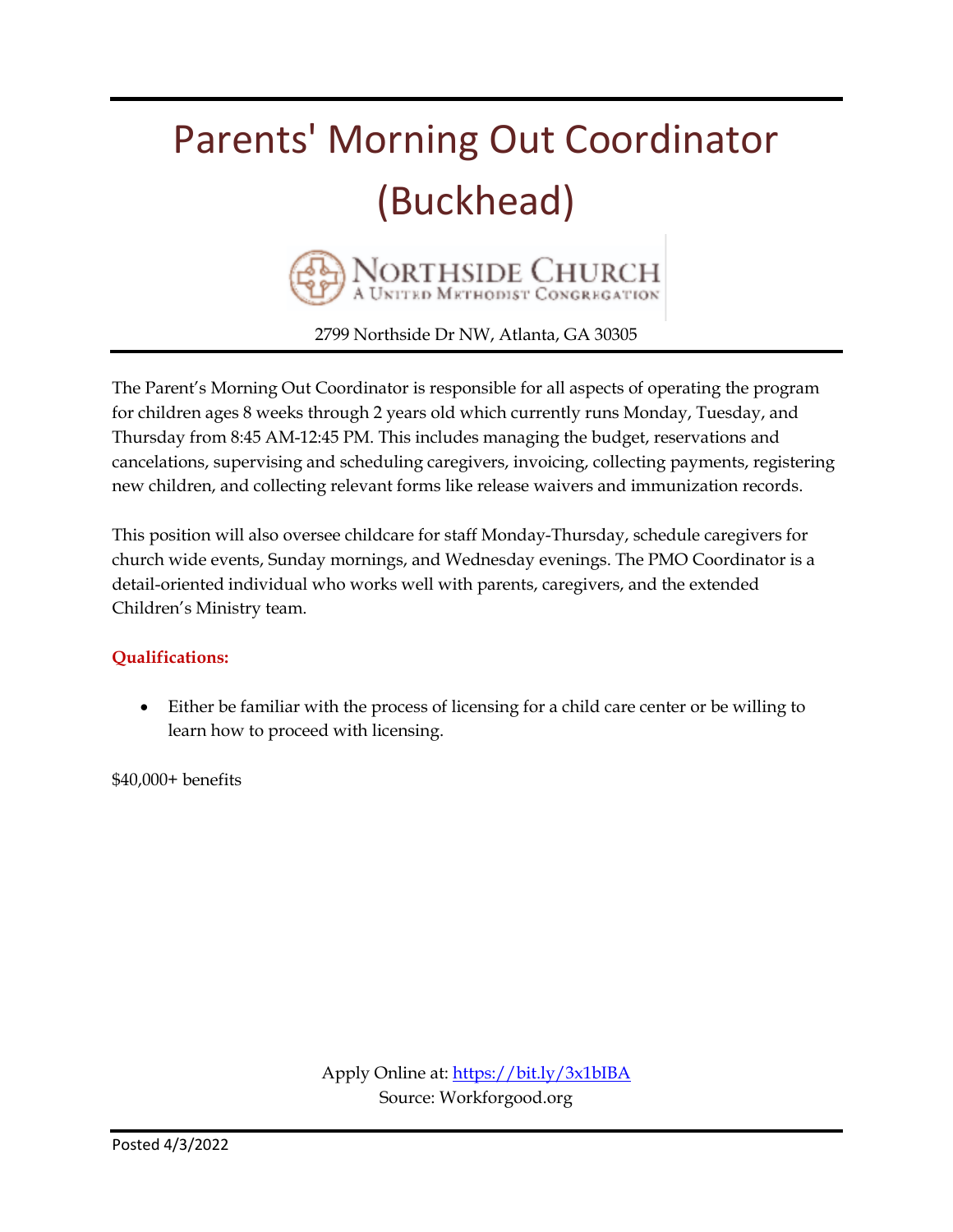## Parents' Morning Out Coordinator (Buckhead)



2799 Northside Dr NW, Atlanta, GA 30305

The Parent's Morning Out Coordinator is responsible for all aspects of operating the program for children ages 8 weeks through 2 years old which currently runs Monday, Tuesday, and Thursday from 8:45 AM-12:45 PM. This includes managing the budget, reservations and cancelations, supervising and scheduling caregivers, invoicing, collecting payments, registering new children, and collecting relevant forms like release waivers and immunization records.

This position will also oversee childcare for staff Monday-Thursday, schedule caregivers for church wide events, Sunday mornings, and Wednesday evenings. The PMO Coordinator is a detail-oriented individual who works well with parents, caregivers, and the extended Children's Ministry team.

#### **Qualifications:**

 Either be familiar with the process of licensing for a child care center or be willing to learn how to proceed with licensing.

\$40,000+ benefits

Apply Online at:<https://bit.ly/3x1bIBA> Source: Workforgood.org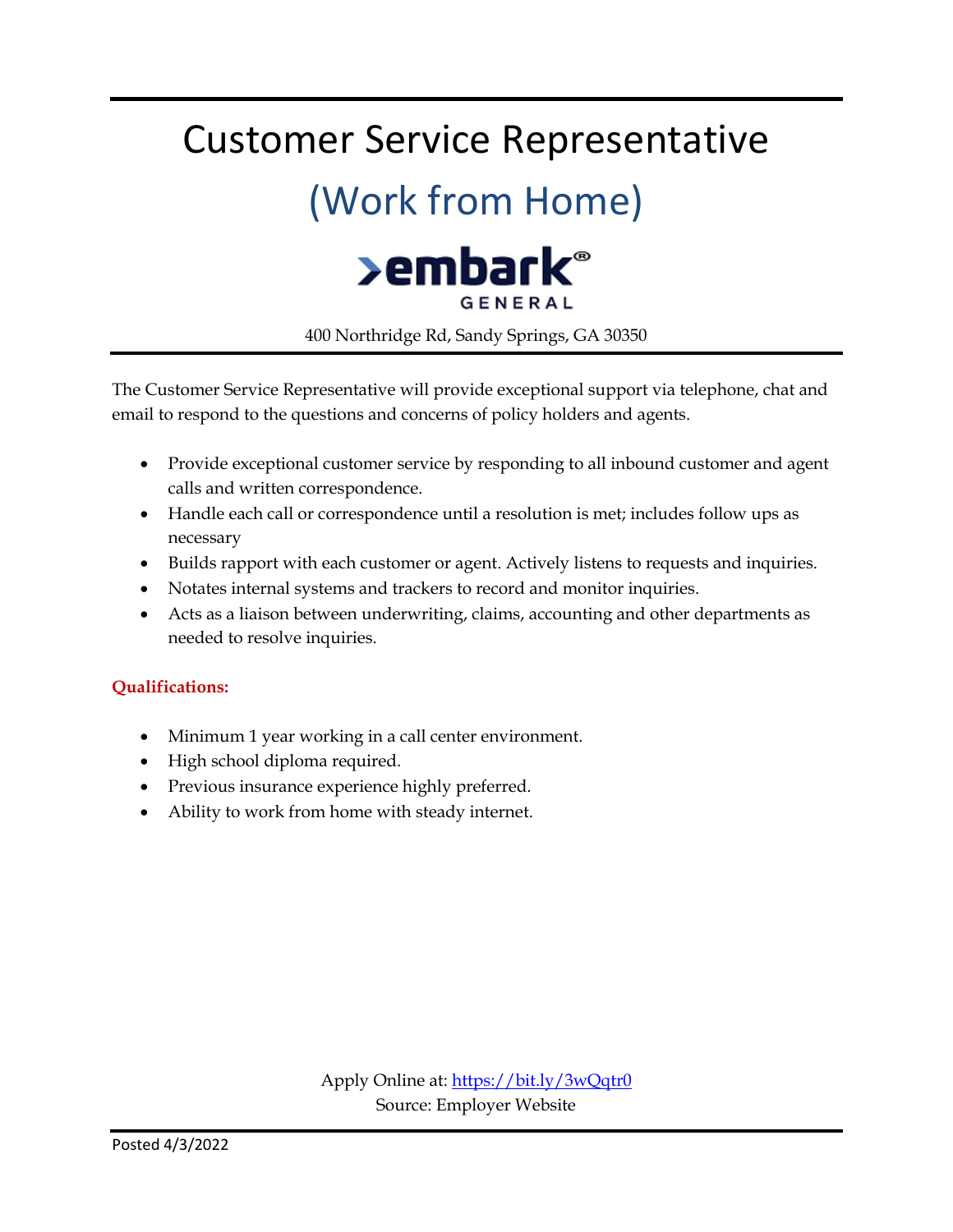### Customer Service Representative

### (Work from Home)



400 Northridge Rd, Sandy Springs, GA 30350

The Customer Service Representative will provide exceptional support via telephone, chat and email to respond to the questions and concerns of policy holders and agents.

- Provide exceptional customer service by responding to all inbound customer and agent calls and written correspondence.
- Handle each call or correspondence until a resolution is met; includes follow ups as necessary
- Builds rapport with each customer or agent. Actively listens to requests and inquiries.
- Notates internal systems and trackers to record and monitor inquiries.
- Acts as a liaison between underwriting, claims, accounting and other departments as needed to resolve inquiries.

#### **Qualifications:**

- Minimum 1 year working in a call center environment.
- High school diploma required.
- Previous insurance experience highly preferred.
- Ability to work from home with steady internet.

Apply Online at:<https://bit.ly/3wQqtr0> Source: Employer Website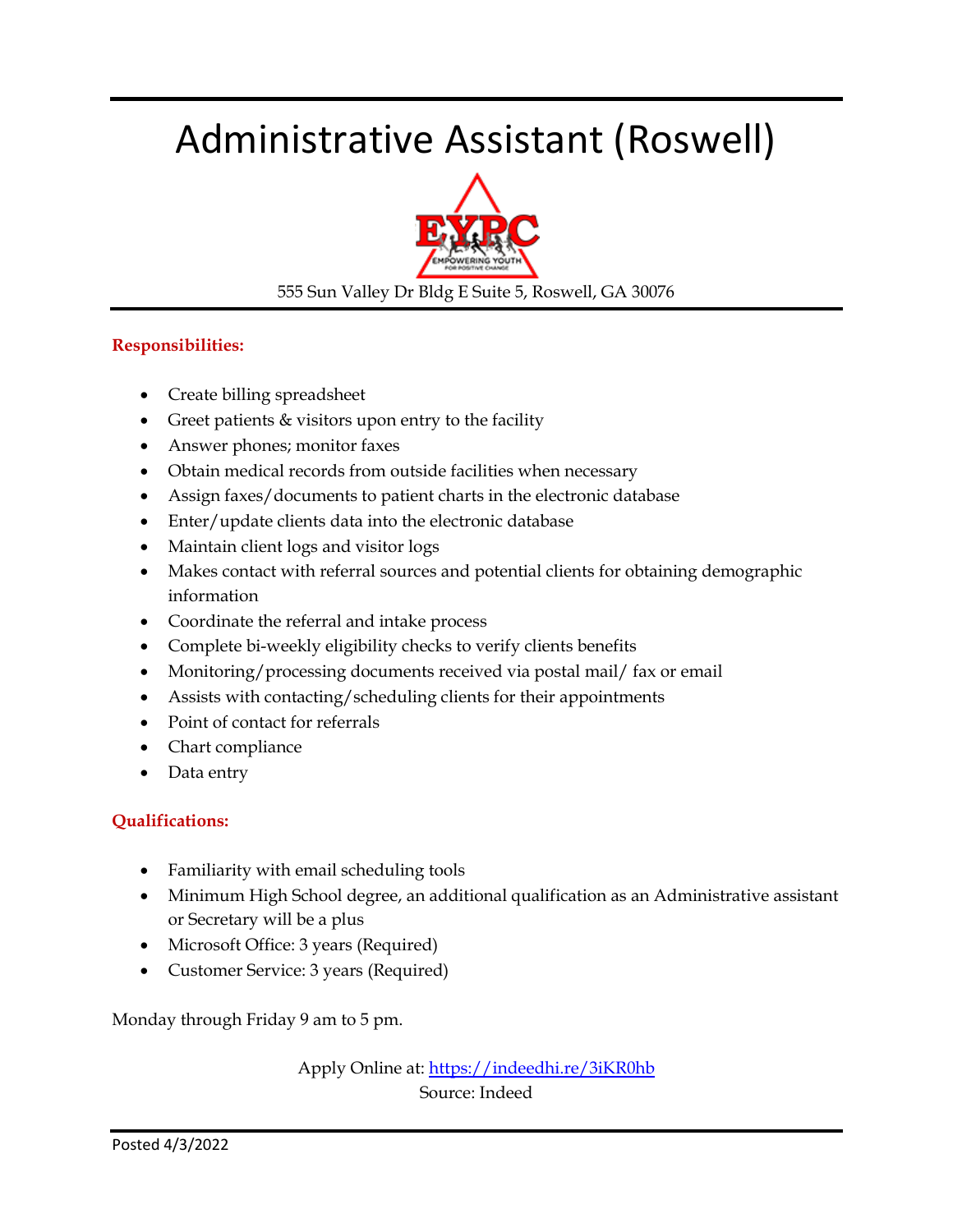### Administrative Assistant (Roswell)



555 Sun Valley Dr Bldg E Suite 5, Roswell, GA 30076

#### **Responsibilities:**

- Create billing spreadsheet
- Greet patients & visitors upon entry to the facility
- Answer phones; monitor faxes
- Obtain medical records from outside facilities when necessary
- Assign faxes/documents to patient charts in the electronic database
- Enter/update clients data into the electronic database
- Maintain client logs and visitor logs
- Makes contact with referral sources and potential clients for obtaining demographic information
- Coordinate the referral and intake process
- Complete bi-weekly eligibility checks to verify clients benefits
- Monitoring/processing documents received via postal mail/ fax or email
- Assists with contacting/scheduling clients for their appointments
- Point of contact for referrals
- Chart compliance
- Data entry

#### **Qualifications:**

- Familiarity with email scheduling tools
- Minimum High School degree, an additional qualification as an Administrative assistant or Secretary will be a plus
- Microsoft Office: 3 years (Required)
- Customer Service: 3 years (Required)

Monday through Friday 9 am to 5 pm.

Apply Online at[: https://indeedhi.re/3iKR0hb](https://indeedhi.re/3iKR0hb) Source: Indeed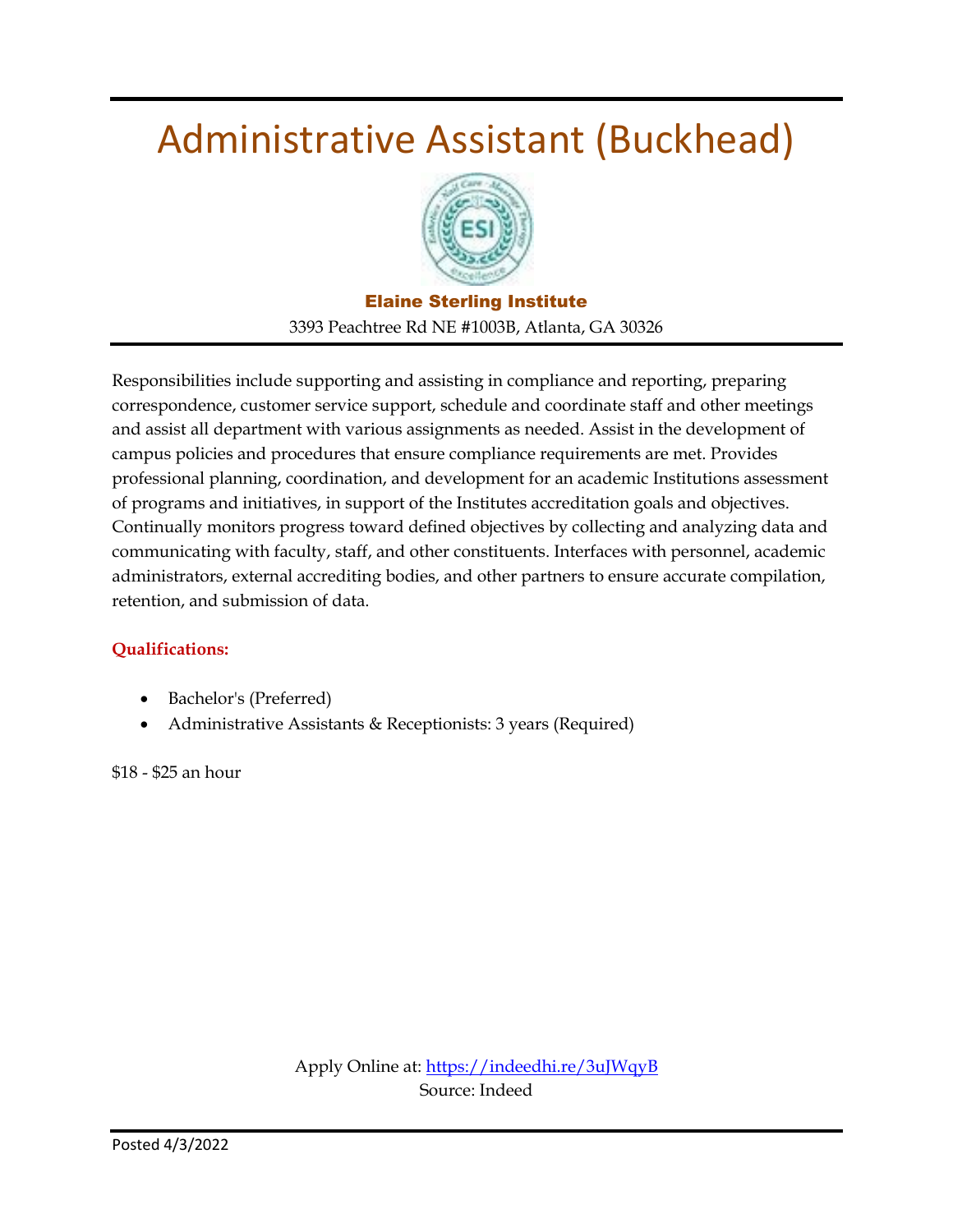### Administrative Assistant (Buckhead)



Elaine Sterling Institute 3393 Peachtree Rd NE #1003B, Atlanta, GA 30326

Responsibilities include supporting and assisting in compliance and reporting, preparing correspondence, customer service support, schedule and coordinate staff and other meetings and assist all department with various assignments as needed. Assist in the development of campus policies and procedures that ensure compliance requirements are met. Provides professional planning, coordination, and development for an academic Institutions assessment of programs and initiatives, in support of the Institutes accreditation goals and objectives. Continually monitors progress toward defined objectives by collecting and analyzing data and communicating with faculty, staff, and other constituents. Interfaces with personnel, academic administrators, external accrediting bodies, and other partners to ensure accurate compilation, retention, and submission of data.

#### **Qualifications:**

- Bachelor's (Preferred)
- Administrative Assistants & Receptionists: 3 years (Required)

\$18 - \$25 an hour

Apply Online at[: https://indeedhi.re/3uJWqyB](https://indeedhi.re/3uJWqyB) Source: Indeed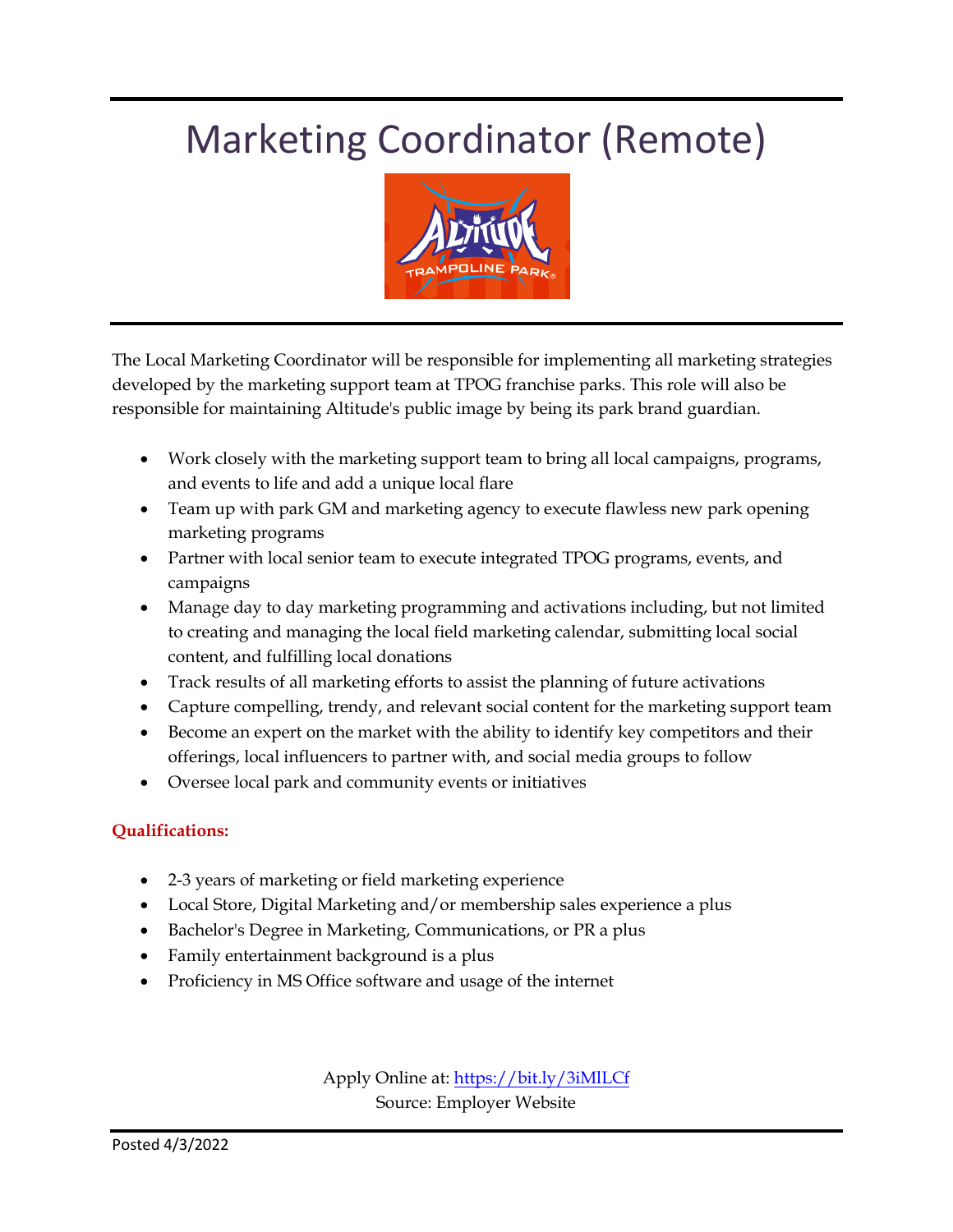### Marketing Coordinator (Remote)



The Local Marketing Coordinator will be responsible for implementing all marketing strategies developed by the marketing support team at TPOG franchise parks. This role will also be responsible for maintaining Altitude's public image by being its park brand guardian.

- Work closely with the marketing support team to bring all local campaigns, programs, and events to life and add a unique local flare
- Team up with park GM and marketing agency to execute flawless new park opening marketing programs
- Partner with local senior team to execute integrated TPOG programs, events, and campaigns
- Manage day to day marketing programming and activations including, but not limited to creating and managing the local field marketing calendar, submitting local social content, and fulfilling local donations
- Track results of all marketing efforts to assist the planning of future activations
- Capture compelling, trendy, and relevant social content for the marketing support team
- Become an expert on the market with the ability to identify key competitors and their offerings, local influencers to partner with, and social media groups to follow
- Oversee local park and community events or initiatives

#### **Qualifications:**

- 2-3 years of marketing or field marketing experience
- Local Store, Digital Marketing and/or membership sales experience a plus
- Bachelor's Degree in Marketing, Communications, or PR a plus
- Family entertainment background is a plus
- Proficiency in MS Office software and usage of the internet

Apply Online at[: https://bit.ly/3iMlLCf](https://bit.ly/3iMlLCf) Source: Employer Website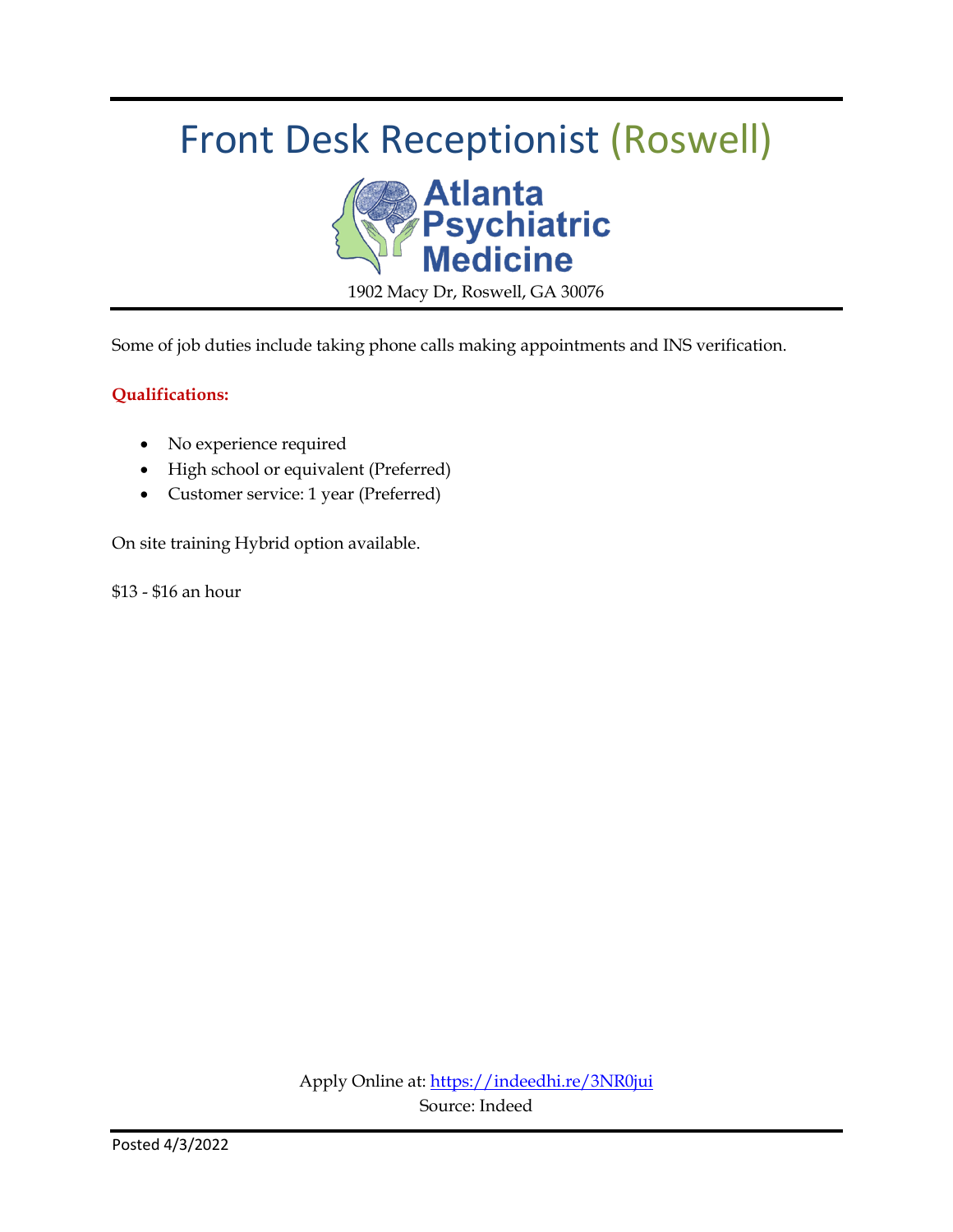### Front Desk Receptionist (Roswell)



Some of job duties include taking phone calls making appointments and INS verification.

#### **Qualifications:**

- No experience required
- High school or equivalent (Preferred)
- Customer service: 1 year (Preferred)

On site training Hybrid option available.

\$13 - \$16 an hour

Apply Online at:<https://indeedhi.re/3NR0jui> Source: Indeed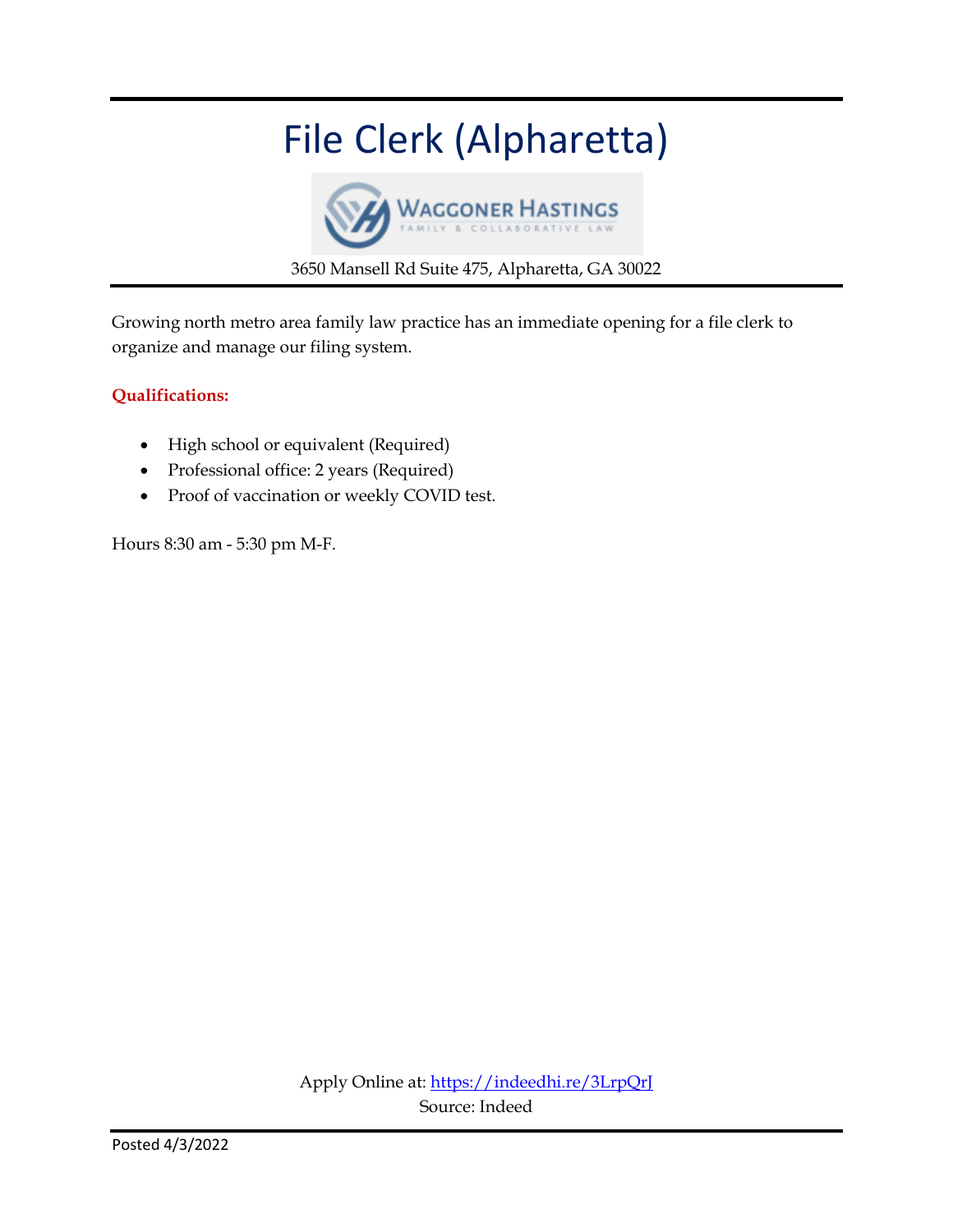### File Clerk (Alpharetta)



3650 Mansell Rd Suite 475, Alpharetta, GA 30022

Growing north metro area family law practice has an immediate opening for a file clerk to organize and manage our filing system.

#### **Qualifications:**

- High school or equivalent (Required)
- Professional office: 2 years (Required)
- Proof of vaccination or weekly COVID test.

Hours 8:30 am - 5:30 pm M-F.

Apply Online at[: https://indeedhi.re/3LrpQrJ](https://indeedhi.re/3LrpQrJ) Source: Indeed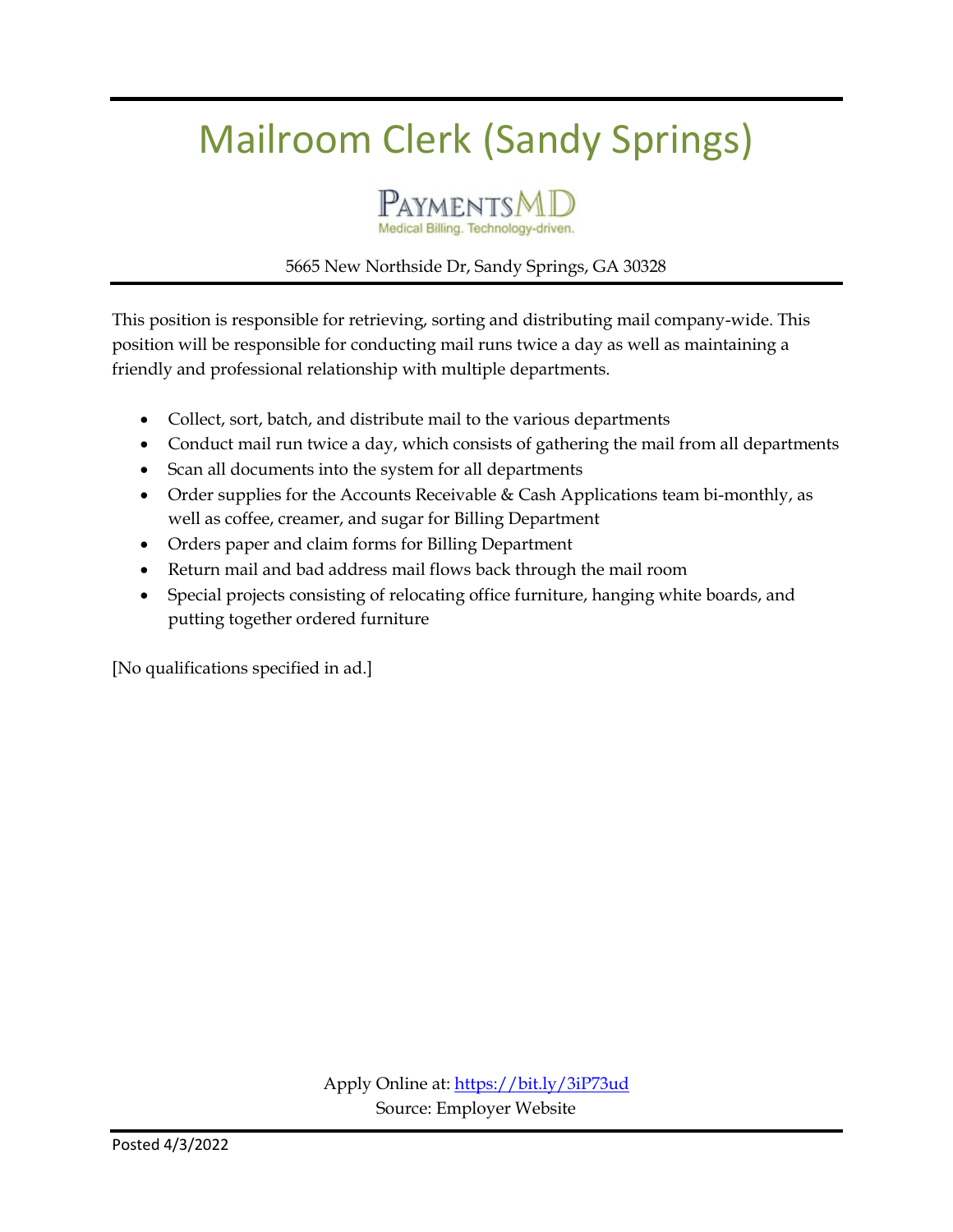### Mailroom Clerk (Sandy Springs)



Medical Billing. Technology-driven.

#### 5665 New Northside Dr, Sandy Springs, GA 30328

This position is responsible for retrieving, sorting and distributing mail company-wide. This position will be responsible for conducting mail runs twice a day as well as maintaining a friendly and professional relationship with multiple departments.

- Collect, sort, batch, and distribute mail to the various departments
- Conduct mail run twice a day, which consists of gathering the mail from all departments
- Scan all documents into the system for all departments
- Order supplies for the Accounts Receivable  $& Cash Applications team bi-monthly, as$ well as coffee, creamer, and sugar for Billing Department
- Orders paper and claim forms for Billing Department
- Return mail and bad address mail flows back through the mail room
- Special projects consisting of relocating office furniture, hanging white boards, and putting together ordered furniture

[No qualifications specified in ad.]

Apply Online at:<https://bit.ly/3iP73ud> Source: Employer Website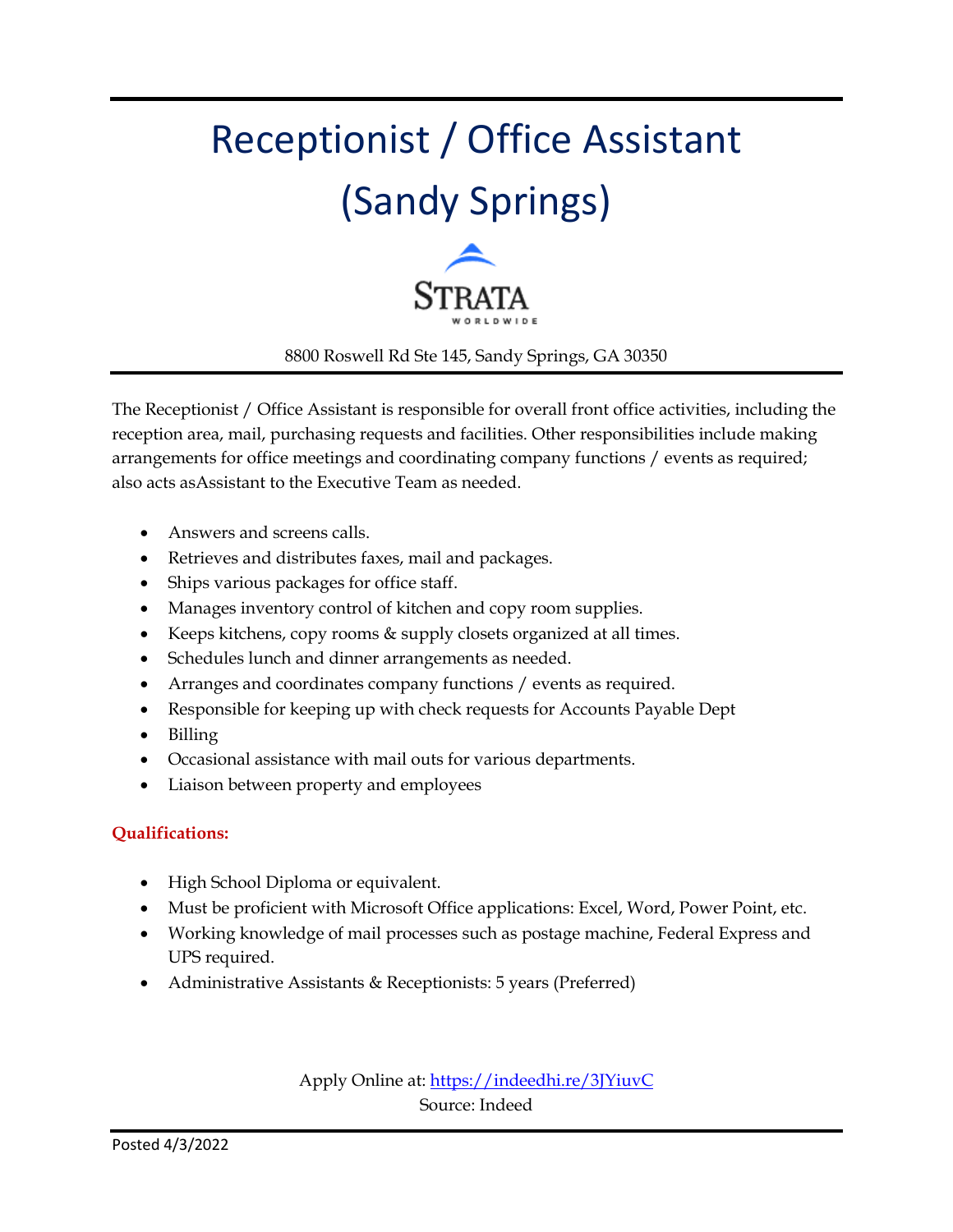# Receptionist / Office Assistant (Sandy Springs)



8800 Roswell Rd Ste 145, Sandy Springs, GA 30350

The Receptionist / Office Assistant is responsible for overall front office activities, including the reception area, mail, purchasing requests and facilities. Other responsibilities include making arrangements for office meetings and coordinating company functions / events as required; also acts asAssistant to the Executive Team as needed.

- Answers and screens calls.
- Retrieves and distributes faxes, mail and packages.
- Ships various packages for office staff.
- Manages inventory control of kitchen and copy room supplies.
- Keeps kitchens, copy rooms & supply closets organized at all times.
- Schedules lunch and dinner arrangements as needed.
- Arranges and coordinates company functions / events as required.
- Responsible for keeping up with check requests for Accounts Payable Dept
- Billing
- Occasional assistance with mail outs for various departments.
- Liaison between property and employees

#### **Qualifications:**

- High School Diploma or equivalent.
- Must be proficient with Microsoft Office applications: Excel, Word, Power Point, etc.
- Working knowledge of mail processes such as postage machine, Federal Express and UPS required.
- Administrative Assistants & Receptionists: 5 years (Preferred)

Apply Online at:<https://indeedhi.re/3JYiuvC> Source: Indeed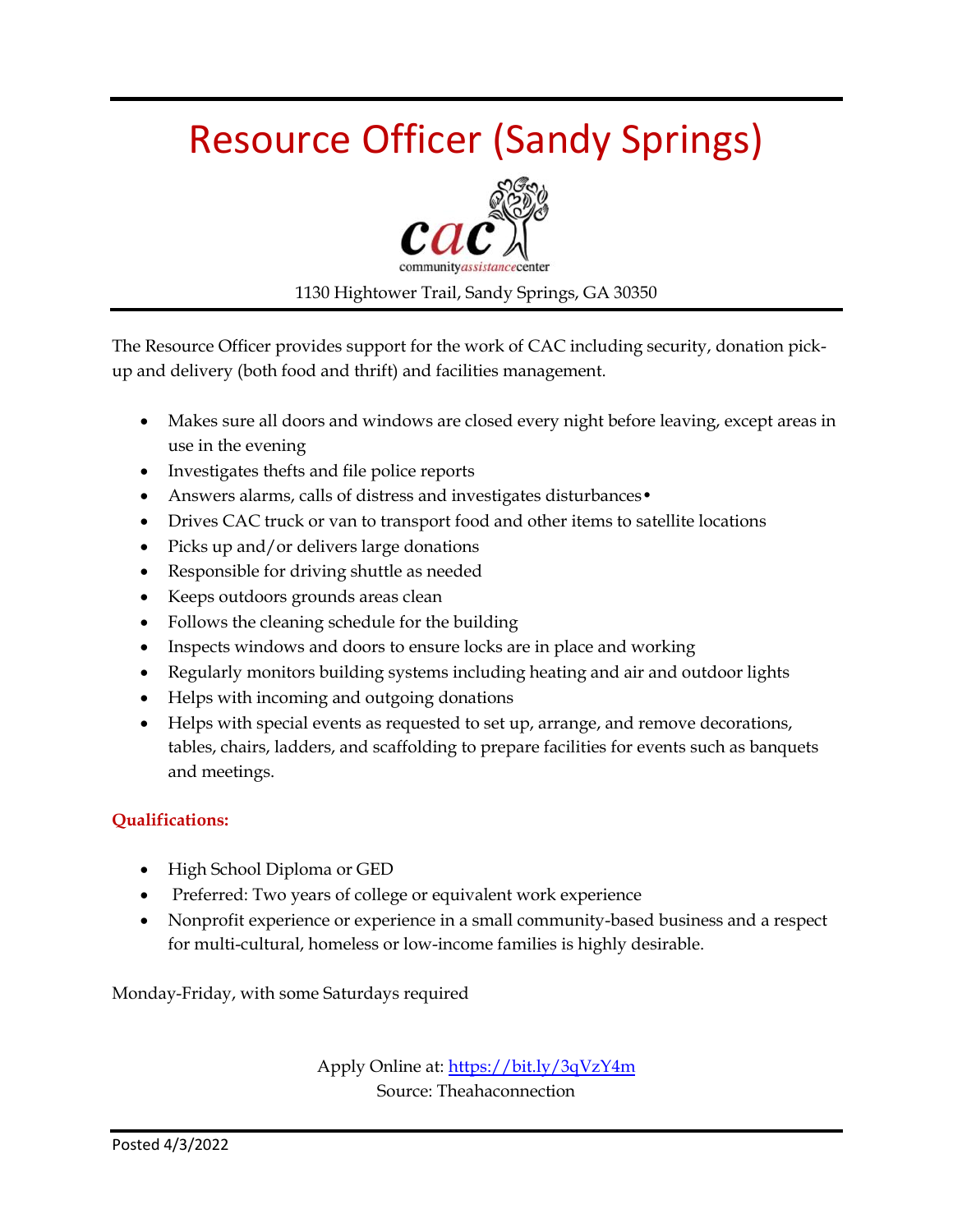### Resource Officer (Sandy Springs)



1130 Hightower Trail, Sandy Springs, GA 30350

The Resource Officer provides support for the work of CAC including security, donation pickup and delivery (both food and thrift) and facilities management.

- Makes sure all doors and windows are closed every night before leaving, except areas in use in the evening
- Investigates thefts and file police reports
- Answers alarms, calls of distress and investigates disturbances •
- Drives CAC truck or van to transport food and other items to satellite locations
- Picks up and/or delivers large donations
- Responsible for driving shuttle as needed
- Keeps outdoors grounds areas clean
- Follows the cleaning schedule for the building
- Inspects windows and doors to ensure locks are in place and working
- Regularly monitors building systems including heating and air and outdoor lights
- Helps with incoming and outgoing donations
- Helps with special events as requested to set up, arrange, and remove decorations, tables, chairs, ladders, and scaffolding to prepare facilities for events such as banquets and meetings.

#### **Qualifications:**

- High School Diploma or GED
- Preferred: Two years of college or equivalent work experience
- Nonprofit experience or experience in a small community-based business and a respect for multi-cultural, homeless or low-income families is highly desirable.

Monday-Friday, with some Saturdays required

Apply Online at:<https://bit.ly/3qVzY4m> Source: Theahaconnection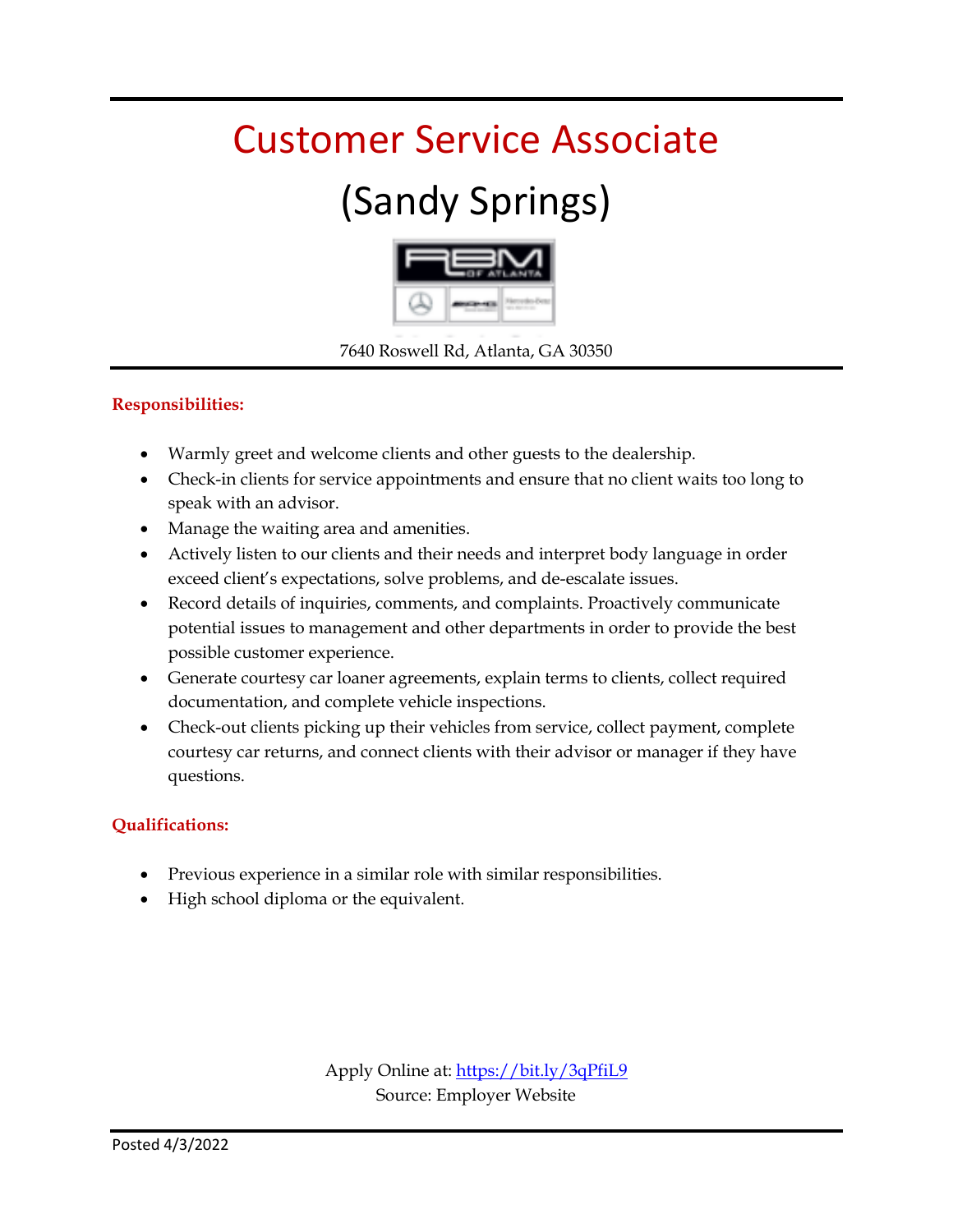### Customer Service Associate

### (Sandy Springs)



7640 Roswell Rd, Atlanta, GA 30350

#### **Responsibilities:**

- Warmly greet and welcome clients and other guests to the dealership.
- Check-in clients for service appointments and ensure that no client waits too long to speak with an advisor.
- Manage the waiting area and amenities.
- Actively listen to our clients and their needs and interpret body language in order exceed client's expectations, solve problems, and de-escalate issues.
- Record details of inquiries, comments, and complaints. Proactively communicate potential issues to management and other departments in order to provide the best possible customer experience.
- Generate courtesy car loaner agreements, explain terms to clients, collect required documentation, and complete vehicle inspections.
- Check-out clients picking up their vehicles from service, collect payment, complete courtesy car returns, and connect clients with their advisor or manager if they have questions.

#### **Qualifications:**

- Previous experience in a similar role with similar responsibilities.
- High school diploma or the equivalent.

Apply Online at:<https://bit.ly/3qPfiL9> Source: Employer Website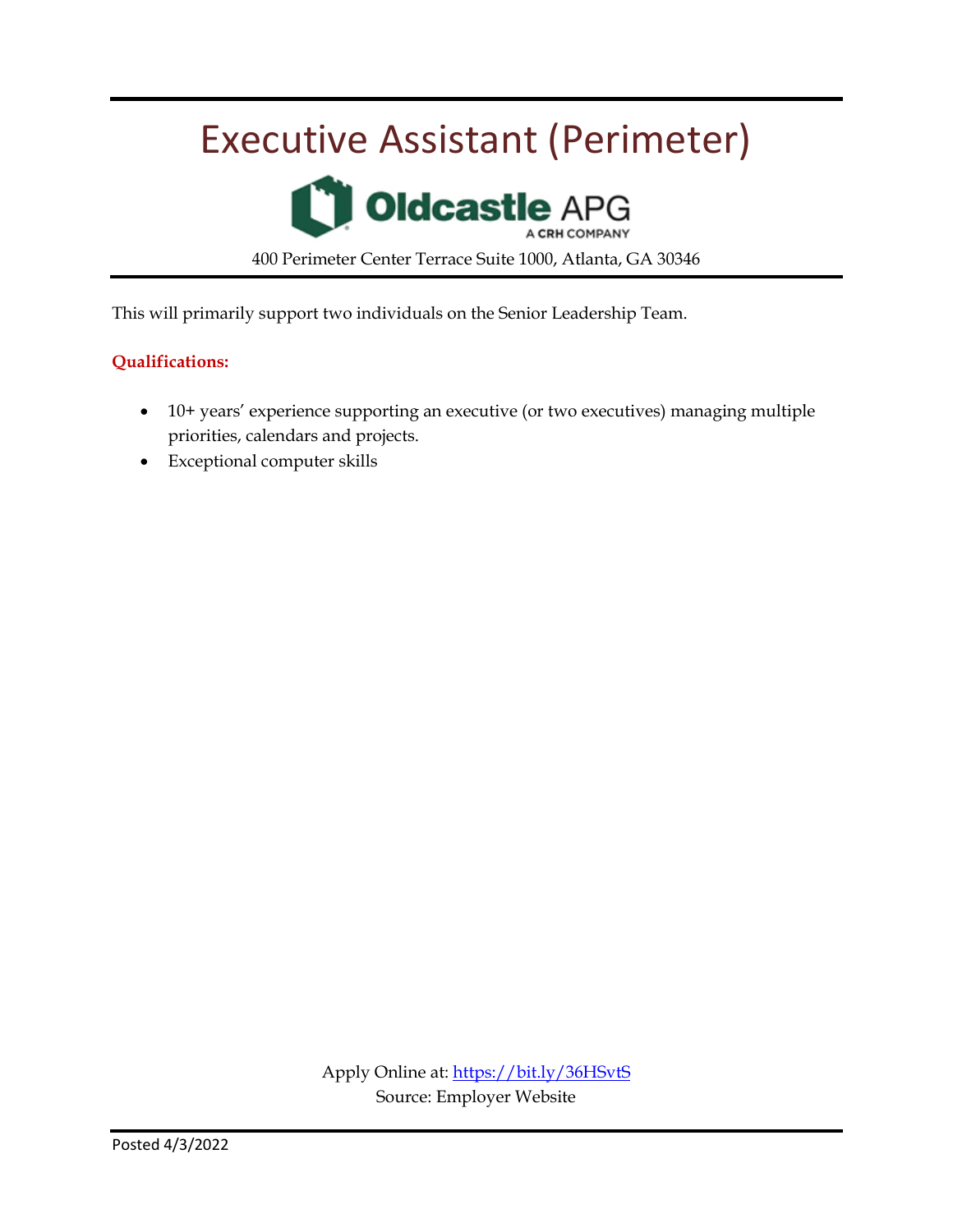### Executive Assistant (Perimeter)

**Oldcastle APG** 400 Perimeter Center Terrace Suite 1000, Atlanta, GA 30346

This will primarily support two individuals on the Senior Leadership Team.

#### **Qualifications:**

- 10+ years' experience supporting an executive (or two executives) managing multiple priorities, calendars and projects.
- Exceptional computer skills

Apply Online at:<https://bit.ly/36HSvtS> Source: Employer Website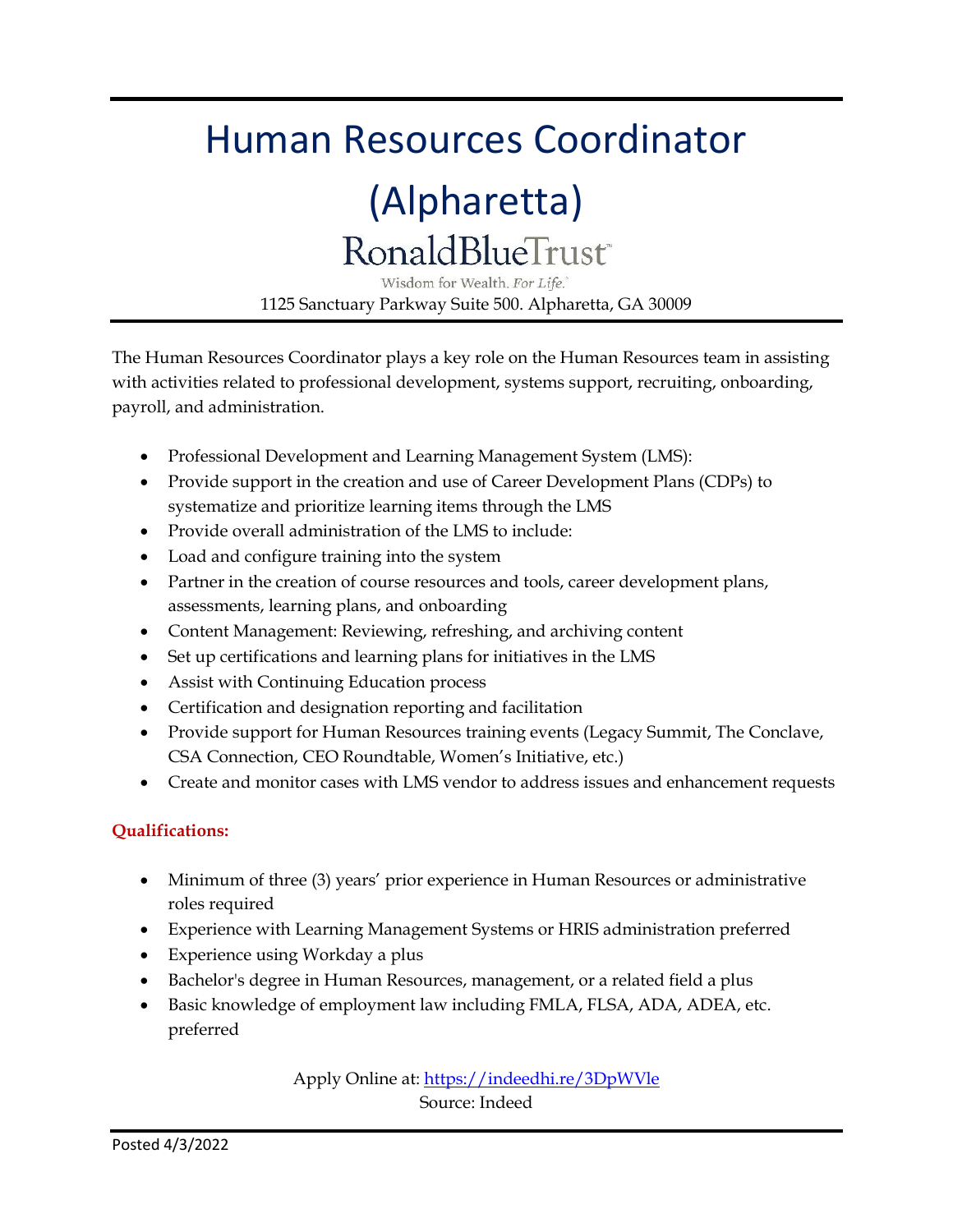### Human Resources Coordinator

### (Alpharetta) **RonaldBlueTrust®**

Wisdom for Wealth. For Life. 1125 Sanctuary Parkway Suite 500. Alpharetta, GA 30009

The Human Resources Coordinator plays a key role on the Human Resources team in assisting with activities related to professional development, systems support, recruiting, onboarding, payroll, and administration.

- Professional Development and Learning Management System (LMS):
- Provide support in the creation and use of Career Development Plans (CDPs) to systematize and prioritize learning items through the LMS
- Provide overall administration of the LMS to include:
- Load and configure training into the system
- Partner in the creation of course resources and tools, career development plans, assessments, learning plans, and onboarding
- Content Management: Reviewing, refreshing, and archiving content
- Set up certifications and learning plans for initiatives in the LMS
- Assist with Continuing Education process
- Certification and designation reporting and facilitation
- Provide support for Human Resources training events (Legacy Summit, The Conclave, CSA Connection, CEO Roundtable, Women's Initiative, etc.)
- Create and monitor cases with LMS vendor to address issues and enhancement requests

#### **Qualifications:**

- Minimum of three (3) years' prior experience in Human Resources or administrative roles required
- Experience with Learning Management Systems or HRIS administration preferred
- Experience using Workday a plus
- Bachelor's degree in Human Resources, management, or a related field a plus
- Basic knowledge of employment law including FMLA, FLSA, ADA, ADEA, etc. preferred

Apply Online at[: https://indeedhi.re/3DpWVle](https://indeedhi.re/3DpWVle) Source: Indeed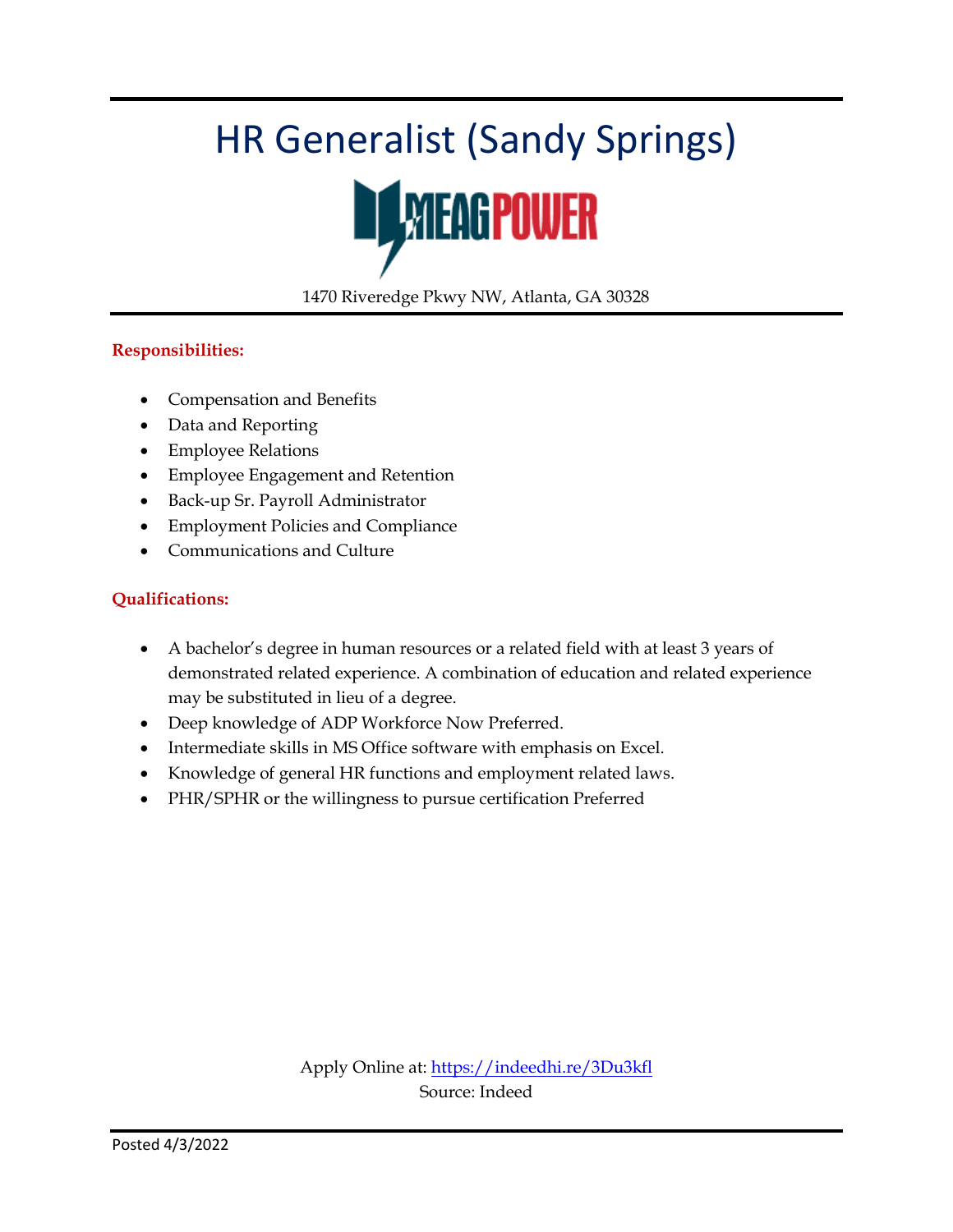### HR Generalist (Sandy Springs)



1470 Riveredge Pkwy NW, Atlanta, GA 30328

#### **Responsibilities:**

- Compensation and Benefits
- Data and Reporting
- Employee Relations
- Employee Engagement and Retention
- Back-up Sr. Payroll Administrator
- Employment Policies and Compliance
- Communications and Culture

#### **Qualifications:**

- A bachelor's degree in human resources or a related field with at least 3 years of demonstrated related experience. A combination of education and related experience may be substituted in lieu of a degree.
- Deep knowledge of ADP Workforce Now Preferred.
- Intermediate skills in MS Office software with emphasis on Excel.
- Knowledge of general HR functions and employment related laws.
- PHR/SPHR or the willingness to pursue certification Preferred

Apply Online at:<https://indeedhi.re/3Du3kfl> Source: Indeed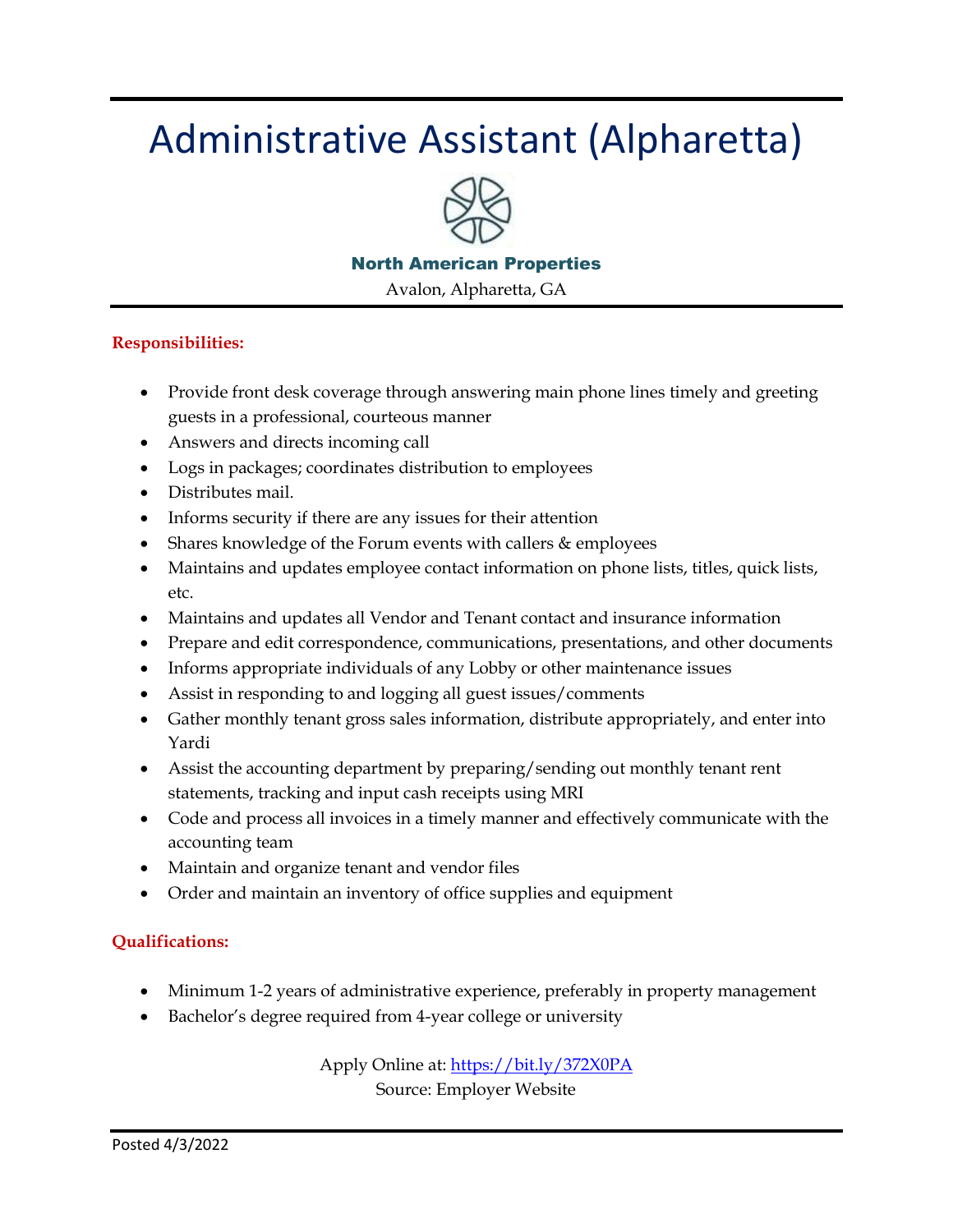### Administrative Assistant (Alpharetta)



#### North American Properties

Avalon, Alpharetta, GA

#### **Responsibilities:**

- Provide front desk coverage through answering main phone lines timely and greeting guests in a professional, courteous manner
- Answers and directs incoming call
- Logs in packages; coordinates distribution to employees
- Distributes mail.
- Informs security if there are any issues for their attention
- Shares knowledge of the Forum events with callers & employees
- Maintains and updates employee contact information on phone lists, titles, quick lists, etc.
- Maintains and updates all Vendor and Tenant contact and insurance information
- Prepare and edit correspondence, communications, presentations, and other documents
- Informs appropriate individuals of any Lobby or other maintenance issues
- Assist in responding to and logging all guest issues/comments
- Gather monthly tenant gross sales information, distribute appropriately, and enter into Yardi
- Assist the accounting department by preparing/sending out monthly tenant rent statements, tracking and input cash receipts using MRI
- Code and process all invoices in a timely manner and effectively communicate with the accounting team
- Maintain and organize tenant and vendor files
- Order and maintain an inventory of office supplies and equipment

#### **Qualifications:**

- Minimum 1-2 years of administrative experience, preferably in property management
- Bachelor's degree required from 4-year college or university

Apply Online at[: https://bit.ly/372X0PA](https://bit.ly/372X0PA)

Source: Employer Website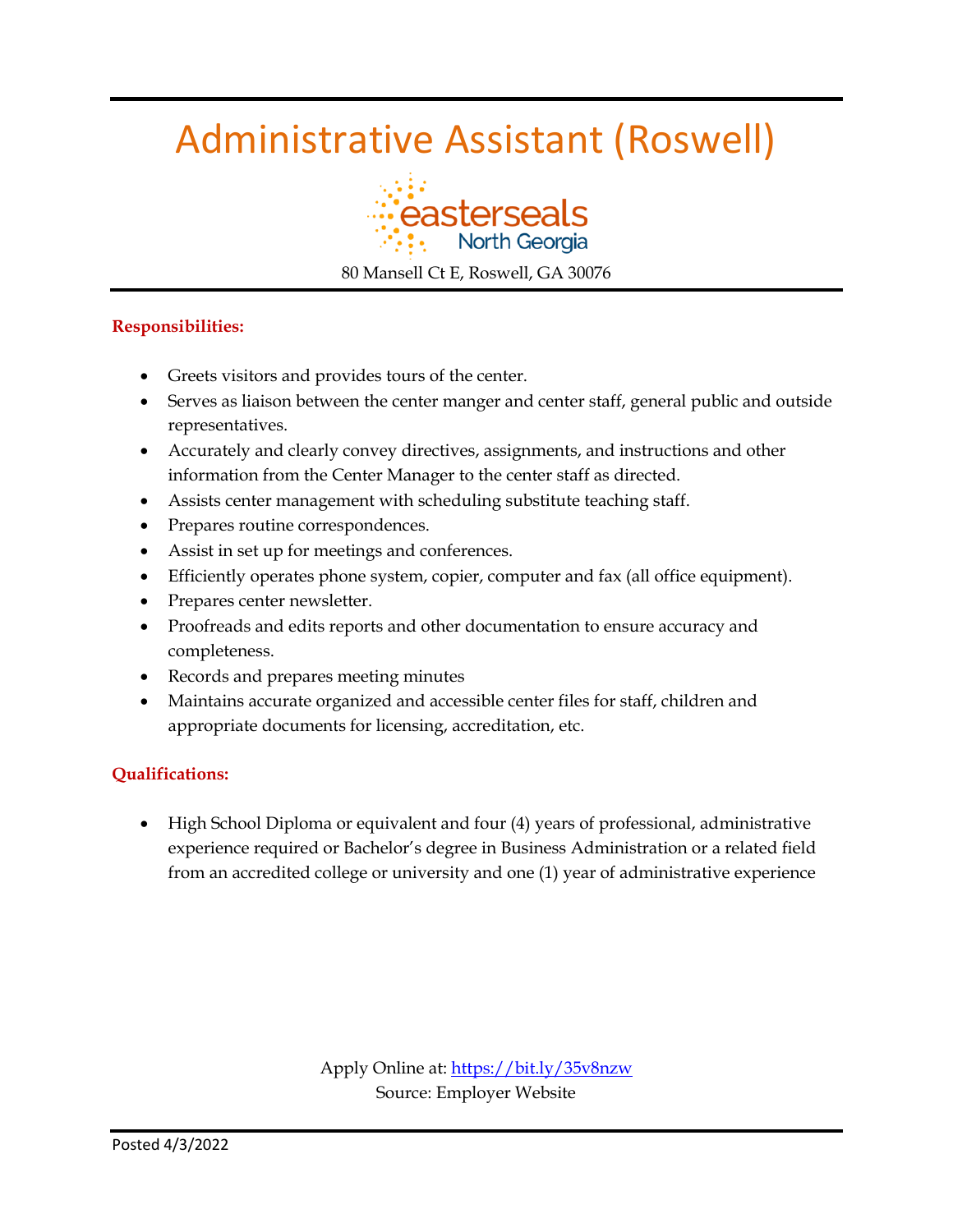### Administrative Assistant (Roswell)



80 Mansell Ct E, Roswell, GA 30076

#### **Responsibilities:**

- Greets visitors and provides tours of the center.
- Serves as liaison between the center manger and center staff, general public and outside representatives.
- Accurately and clearly convey directives, assignments, and instructions and other information from the Center Manager to the center staff as directed.
- Assists center management with scheduling substitute teaching staff.
- Prepares routine correspondences.
- Assist in set up for meetings and conferences.
- Efficiently operates phone system, copier, computer and fax (all office equipment).
- Prepares center newsletter.
- Proofreads and edits reports and other documentation to ensure accuracy and completeness.
- Records and prepares meeting minutes
- Maintains accurate organized and accessible center files for staff, children and appropriate documents for licensing, accreditation, etc.

#### **Qualifications:**

 High School Diploma or equivalent and four (4) years of professional, administrative experience required or Bachelor's degree in Business Administration or a related field from an accredited college or university and one (1) year of administrative experience

> Apply Online at:<https://bit.ly/35v8nzw> Source: Employer Website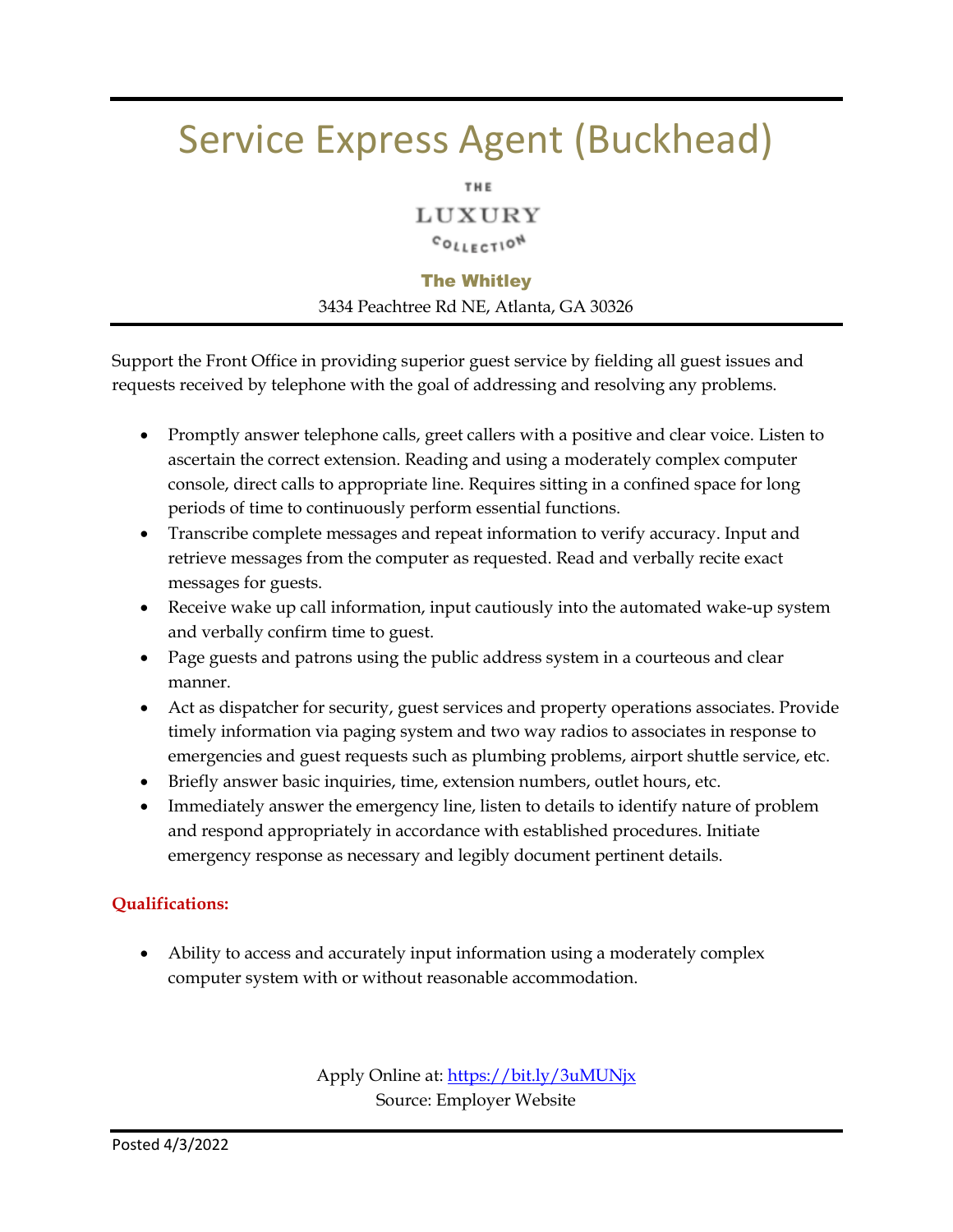### Service Express Agent (Buckhead)

LUXURY

#### COLLECTION

#### The Whitley

3434 Peachtree Rd NE, Atlanta, GA 30326

Support the Front Office in providing superior guest service by fielding all guest issues and requests received by telephone with the goal of addressing and resolving any problems.

- Promptly answer telephone calls, greet callers with a positive and clear voice. Listen to ascertain the correct extension. Reading and using a moderately complex computer console, direct calls to appropriate line. Requires sitting in a confined space for long periods of time to continuously perform essential functions.
- Transcribe complete messages and repeat information to verify accuracy. Input and retrieve messages from the computer as requested. Read and verbally recite exact messages for guests.
- Receive wake up call information, input cautiously into the automated wake-up system and verbally confirm time to guest.
- Page guests and patrons using the public address system in a courteous and clear manner.
- Act as dispatcher for security, guest services and property operations associates. Provide timely information via paging system and two way radios to associates in response to emergencies and guest requests such as plumbing problems, airport shuttle service, etc.
- Briefly answer basic inquiries, time, extension numbers, outlet hours, etc.
- Immediately answer the emergency line, listen to details to identify nature of problem and respond appropriately in accordance with established procedures. Initiate emergency response as necessary and legibly document pertinent details.

#### **Qualifications:**

 Ability to access and accurately input information using a moderately complex computer system with or without reasonable accommodation.

> Apply Online at[: https://bit.ly/3uMUNjx](https://bit.ly/3uMUNjx) Source: Employer Website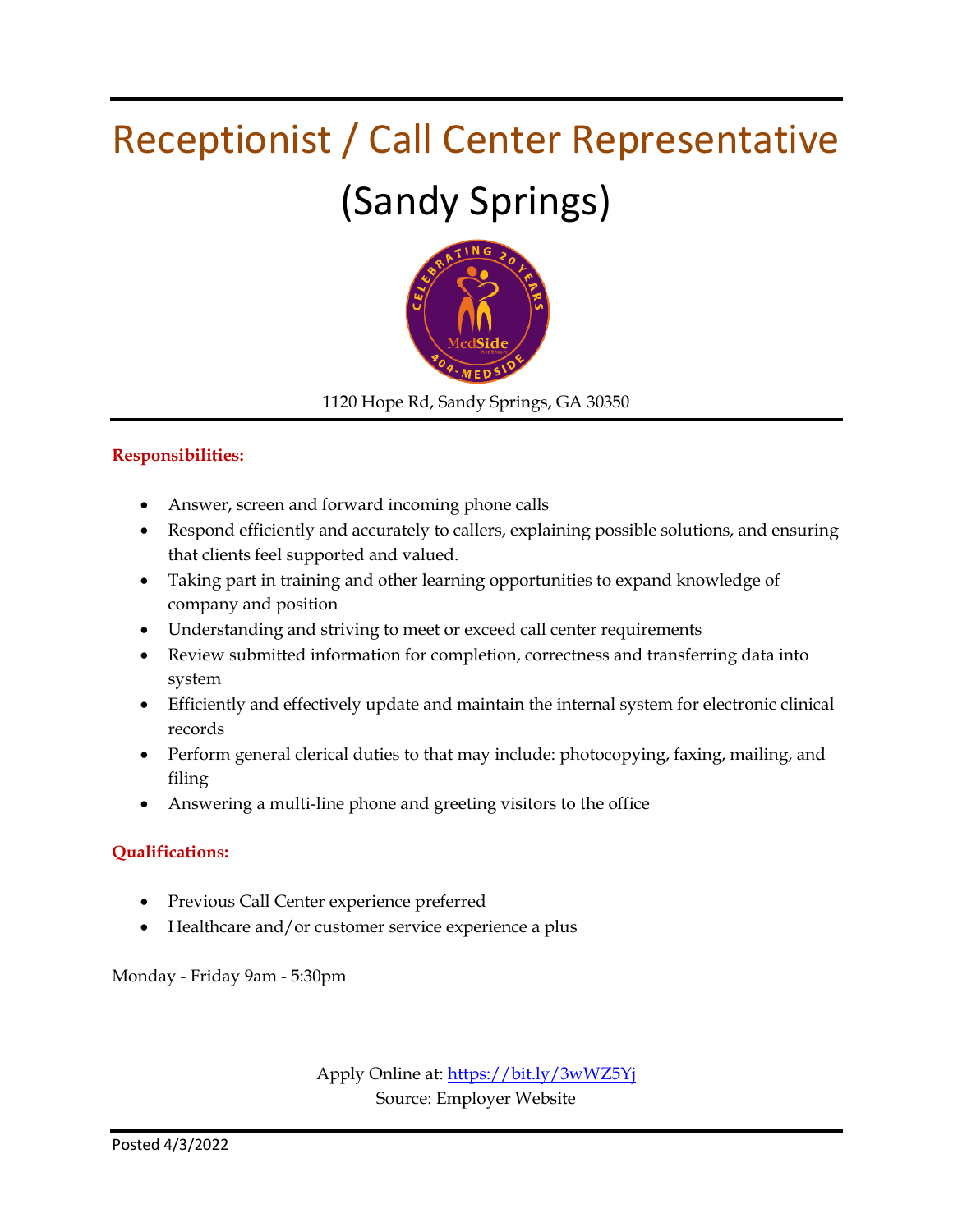# Receptionist / Call Center Representative (Sandy Springs)



1120 Hope Rd, Sandy Springs, GA 30350

#### **Responsibilities:**

- Answer, screen and forward incoming phone calls
- Respond efficiently and accurately to callers, explaining possible solutions, and ensuring that clients feel supported and valued.
- Taking part in training and other learning opportunities to expand knowledge of company and position
- Understanding and striving to meet or exceed call center requirements
- Review submitted information for completion, correctness and transferring data into system
- Efficiently and effectively update and maintain the internal system for electronic clinical records
- Perform general clerical duties to that may include: photocopying, faxing, mailing, and filing
- Answering a multi-line phone and greeting visitors to the office

#### **Qualifications:**

- Previous Call Center experience preferred
- Healthcare and/or customer service experience a plus

Monday - Friday 9am - 5:30pm

Apply Online at[: https://bit.ly/3wWZ5Yj](https://bit.ly/3wWZ5Yj) Source: Employer Website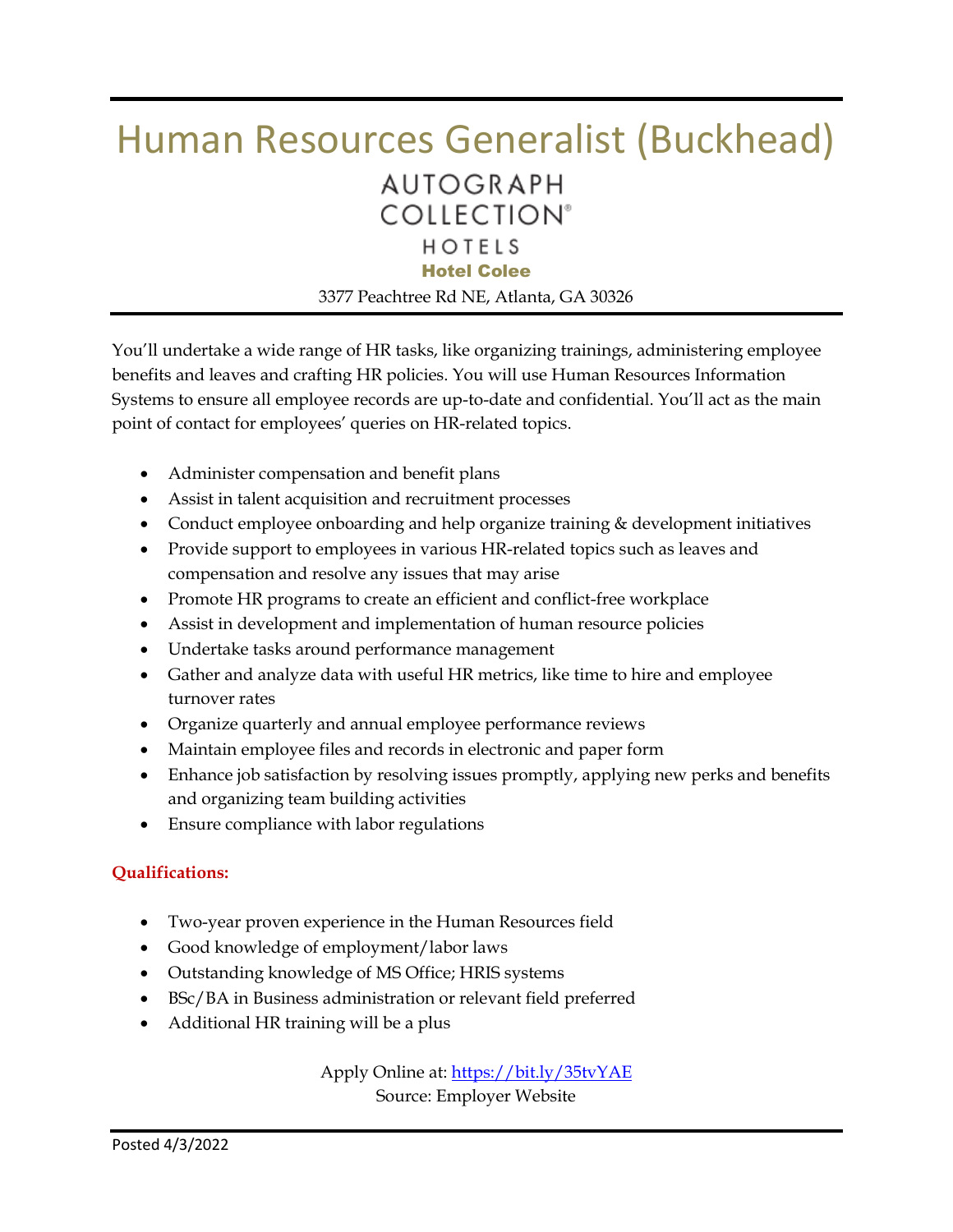### Human Resources Generalist (Buckhead) **AUTOGRAPH COLLECTION®** HOTELS Hotel Colee

3377 Peachtree Rd NE, Atlanta, GA 30326

You'll undertake a wide range of HR tasks, like organizing trainings, administering employee benefits and leaves and crafting HR policies. You will use Human Resources Information Systems to ensure all employee records are up-to-date and confidential. You'll act as the main point of contact for employees' queries on HR-related topics.

- Administer compensation and benefit plans
- Assist in talent acquisition and recruitment processes
- Conduct employee onboarding and help organize training & development initiatives
- Provide support to employees in various HR-related topics such as leaves and compensation and resolve any issues that may arise
- Promote HR programs to create an efficient and conflict-free workplace
- Assist in development and implementation of human resource policies
- Undertake tasks around performance management
- Gather and analyze data with useful HR metrics, like time to hire and employee turnover rates
- Organize quarterly and annual employee performance reviews
- Maintain employee files and records in electronic and paper form
- Enhance job satisfaction by resolving issues promptly, applying new perks and benefits and organizing team building activities
- Ensure compliance with labor regulations

#### **Qualifications:**

- Two-year proven experience in the Human Resources field
- Good knowledge of employment/labor laws
- Outstanding knowledge of MS Office; HRIS systems
- BSc/BA in Business administration or relevant field preferred
- Additional HR training will be a plus

Apply Online at:<https://bit.ly/35tvYAE> Source: Employer Website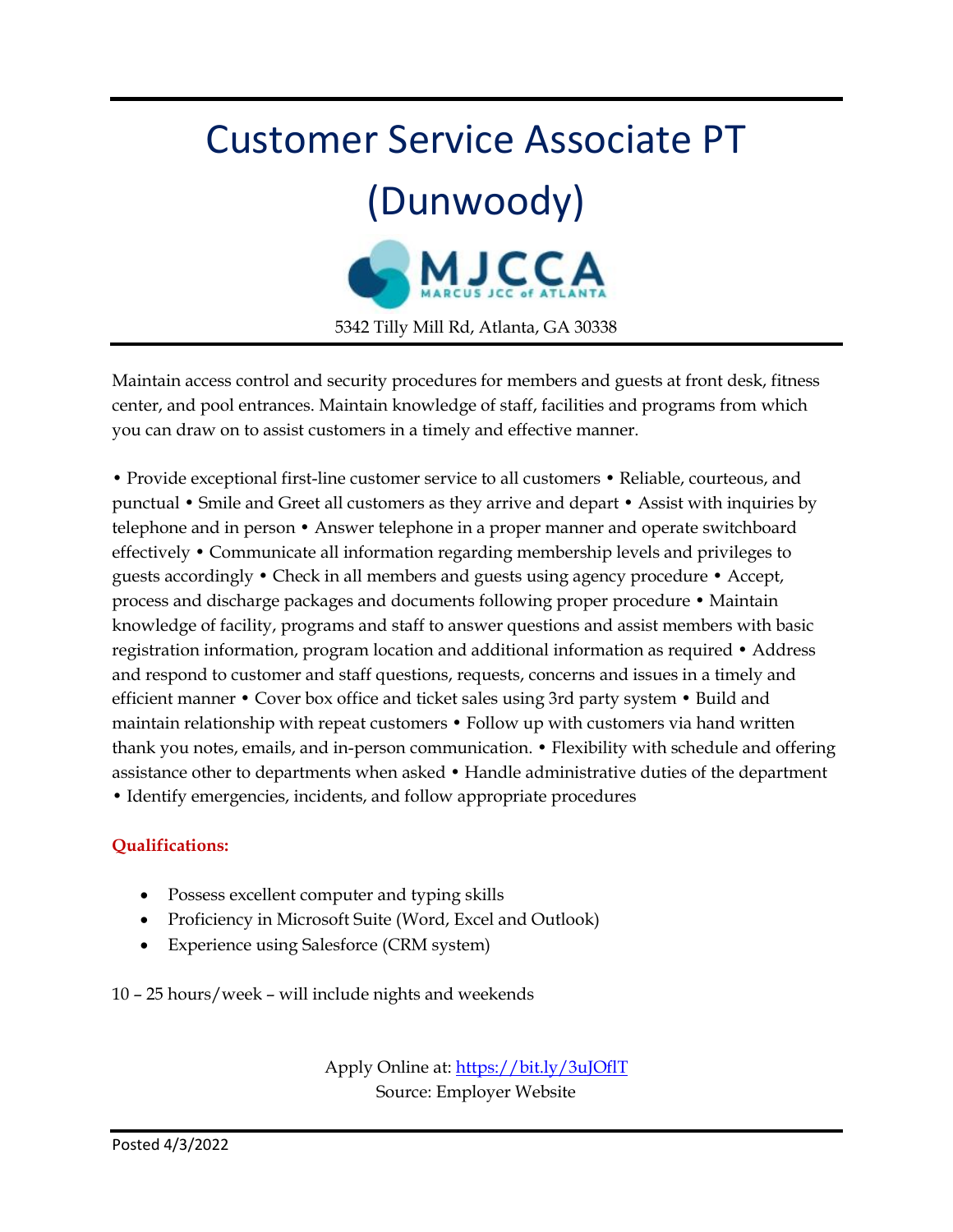# Customer Service Associate PT (Dunwoody) 5342 Tilly Mill Rd, Atlanta, GA 30338

Maintain access control and security procedures for members and guests at front desk, fitness center, and pool entrances. Maintain knowledge of staff, facilities and programs from which you can draw on to assist customers in a timely and effective manner.

• Provide exceptional first-line customer service to all customers • Reliable, courteous, and punctual • Smile and Greet all customers as they arrive and depart • Assist with inquiries by telephone and in person • Answer telephone in a proper manner and operate switchboard effectively • Communicate all information regarding membership levels and privileges to guests accordingly • Check in all members and guests using agency procedure • Accept, process and discharge packages and documents following proper procedure • Maintain knowledge of facility, programs and staff to answer questions and assist members with basic registration information, program location and additional information as required • Address and respond to customer and staff questions, requests, concerns and issues in a timely and efficient manner • Cover box office and ticket sales using 3rd party system • Build and maintain relationship with repeat customers • Follow up with customers via hand written thank you notes, emails, and in-person communication. • Flexibility with schedule and offering assistance other to departments when asked • Handle administrative duties of the department • Identify emergencies, incidents, and follow appropriate procedures

#### **Qualifications:**

- Possess excellent computer and typing skills
- Proficiency in Microsoft Suite (Word, Excel and Outlook)
- Experience using Salesforce (CRM system)

10 – 25 hours/week – will include nights and weekends

Apply Online at:<https://bit.ly/3uJOflT> Source: Employer Website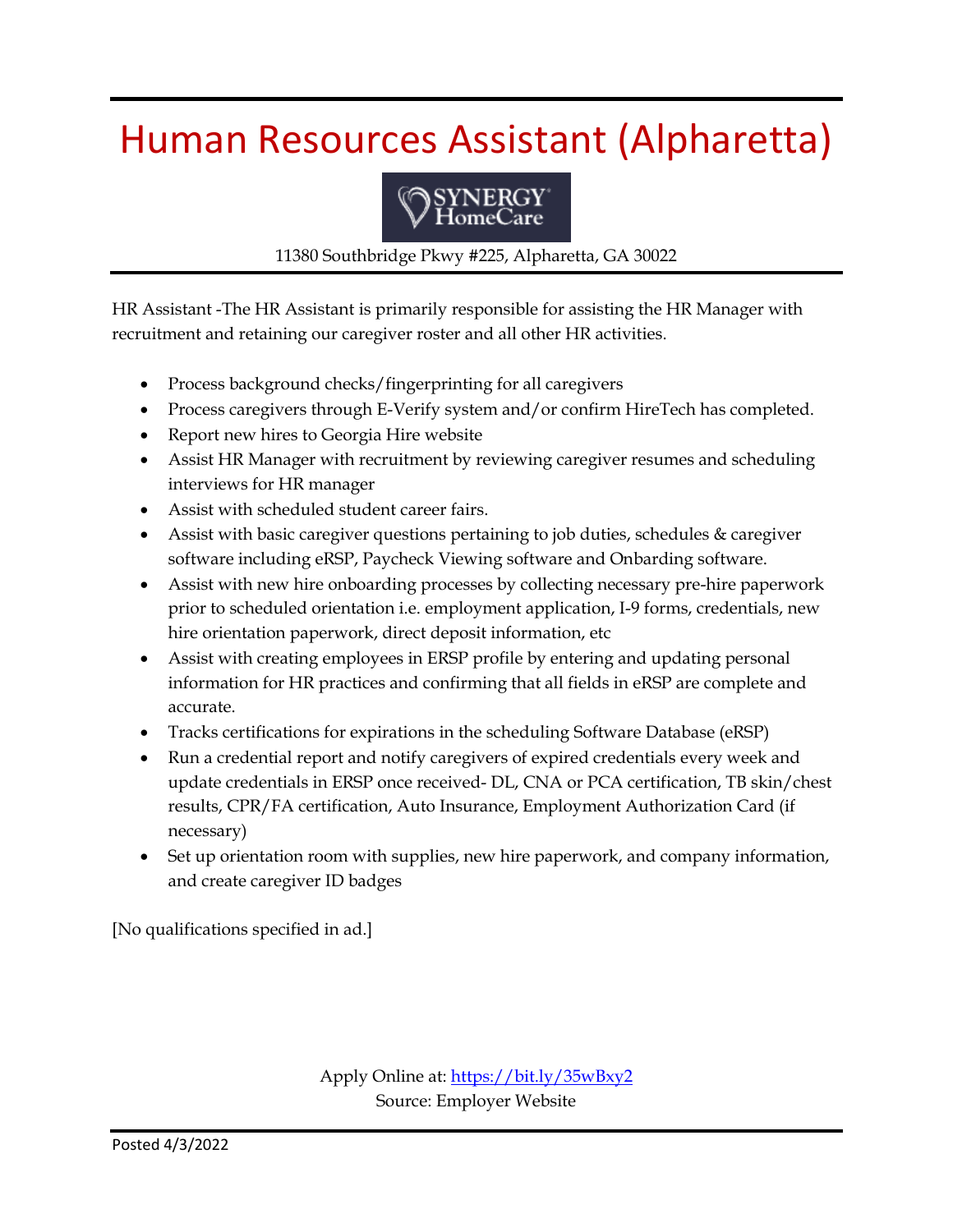### Human Resources Assistant (Alpharetta)



11380 Southbridge Pkwy #225, Alpharetta, GA 30022

HR Assistant -The HR Assistant is primarily responsible for assisting the HR Manager with recruitment and retaining our caregiver roster and all other HR activities.

- Process background checks/fingerprinting for all caregivers
- Process caregivers through E-Verify system and/or confirm HireTech has completed.
- Report new hires to Georgia Hire website
- Assist HR Manager with recruitment by reviewing caregiver resumes and scheduling interviews for HR manager
- Assist with scheduled student career fairs.
- Assist with basic caregiver questions pertaining to job duties, schedules & caregiver software including eRSP, Paycheck Viewing software and Onbarding software.
- Assist with new hire onboarding processes by collecting necessary pre-hire paperwork prior to scheduled orientation i.e. employment application, I-9 forms, credentials, new hire orientation paperwork, direct deposit information, etc
- Assist with creating employees in ERSP profile by entering and updating personal information for HR practices and confirming that all fields in eRSP are complete and accurate.
- Tracks certifications for expirations in the scheduling Software Database (eRSP)
- Run a credential report and notify caregivers of expired credentials every week and update credentials in ERSP once received- DL, CNA or PCA certification, TB skin/chest results, CPR/FA certification, Auto Insurance, Employment Authorization Card (if necessary)
- Set up orientation room with supplies, new hire paperwork, and company information, and create caregiver ID badges

[No qualifications specified in ad.]

Apply Online at:<https://bit.ly/35wBxy2> Source: Employer Website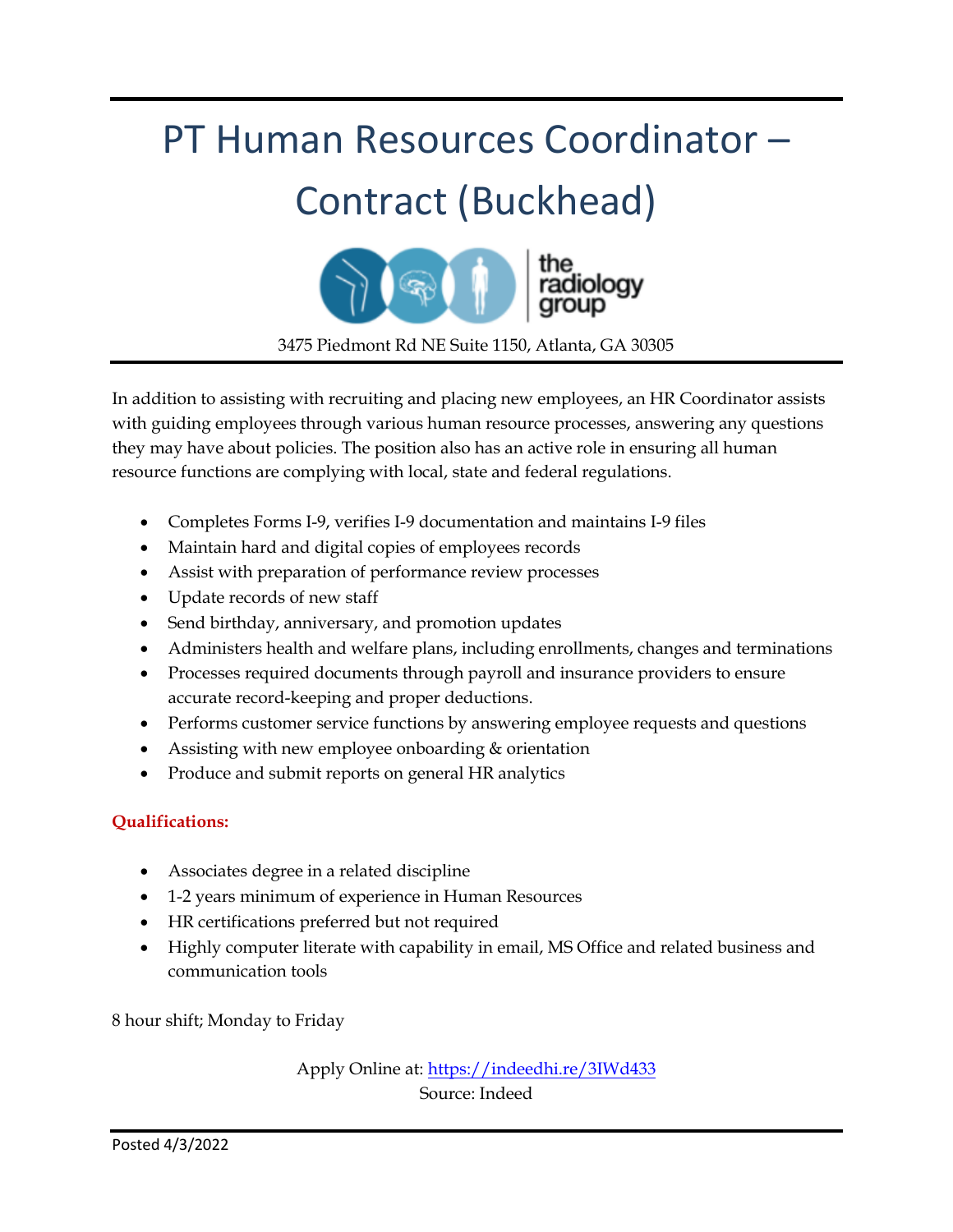# PT Human Resources Coordinator – Contract (Buckhead) radiology

3475 Piedmont Rd NE Suite 1150, Atlanta, GA 30305

In addition to assisting with recruiting and placing new employees, an HR Coordinator assists with guiding employees through various human resource processes, answering any questions they may have about policies. The position also has an active role in ensuring all human resource functions are complying with local, state and federal regulations.

- Completes Forms I-9, verifies I-9 documentation and maintains I-9 files
- Maintain hard and digital copies of employees records
- Assist with preparation of performance review processes
- Update records of new staff
- Send birthday, anniversary, and promotion updates
- Administers health and welfare plans, including enrollments, changes and terminations
- Processes required documents through payroll and insurance providers to ensure accurate record-keeping and proper deductions.
- Performs customer service functions by answering employee requests and questions
- Assisting with new employee onboarding & orientation
- Produce and submit reports on general HR analytics

#### **Qualifications:**

- Associates degree in a related discipline
- 1-2 years minimum of experience in Human Resources
- HR certifications preferred but not required
- Highly computer literate with capability in email, MS Office and related business and communication tools

8 hour shift; Monday to Friday

Apply Online at:<https://indeedhi.re/3IWd433> Source: Indeed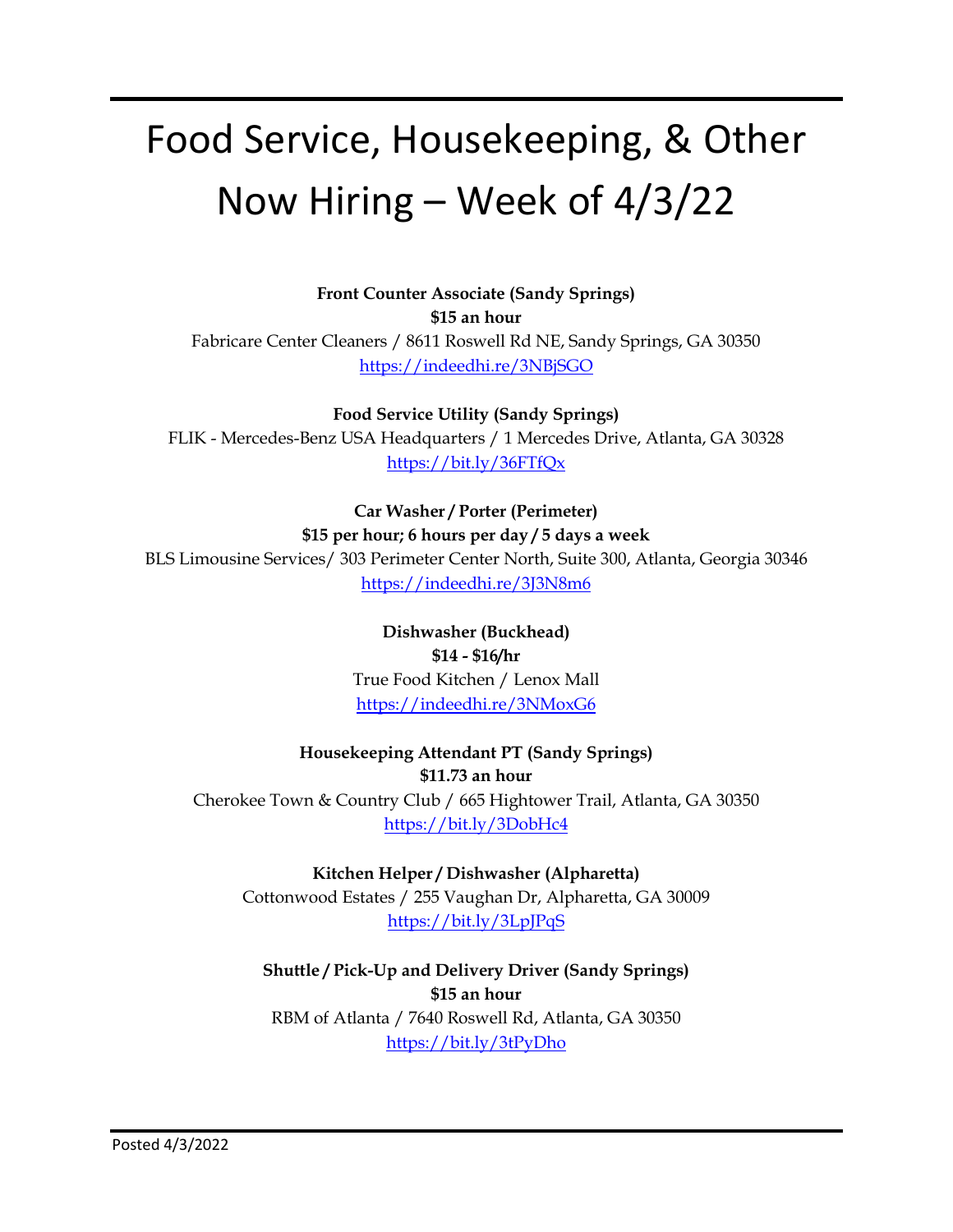### Food Service, Housekeeping, & Other Now Hiring – Week of 4/3/22

**Front Counter Associate (Sandy Springs) \$15 an hour** Fabricare Center Cleaners / 8611 Roswell Rd NE, Sandy Springs, GA 30350 <https://indeedhi.re/3NBjSGO>

**Food Service Utility (Sandy Springs)** FLIK - Mercedes-Benz USA Headquarters / 1 Mercedes Drive, Atlanta, GA 30328 <https://bit.ly/36FTfQx>

**Car Washer / Porter (Perimeter)**

**\$15 per hour; 6 hours per day / 5 days a week**

BLS Limousine Services/ 303 Perimeter Center North, Suite 300, Atlanta, Georgia 30346 <https://indeedhi.re/3J3N8m6>

> **Dishwasher (Buckhead) \$14 - \$16/hr** True Food Kitchen / Lenox Mall <https://indeedhi.re/3NMoxG6>

#### **Housekeeping Attendant PT (Sandy Springs)**

**\$11.73 an hour** Cherokee Town & Country Club / 665 Hightower Trail, Atlanta, GA 30350 <https://bit.ly/3DobHc4>

**Kitchen Helper / Dishwasher (Alpharetta)** Cottonwood Estates / 255 Vaughan Dr, Alpharetta, GA 30009 <https://bit.ly/3LpJPqS>

**Shuttle / Pick-Up and Delivery Driver (Sandy Springs) \$15 an hour** RBM of Atlanta / 7640 Roswell Rd, Atlanta, GA 30350 <https://bit.ly/3tPyDho>